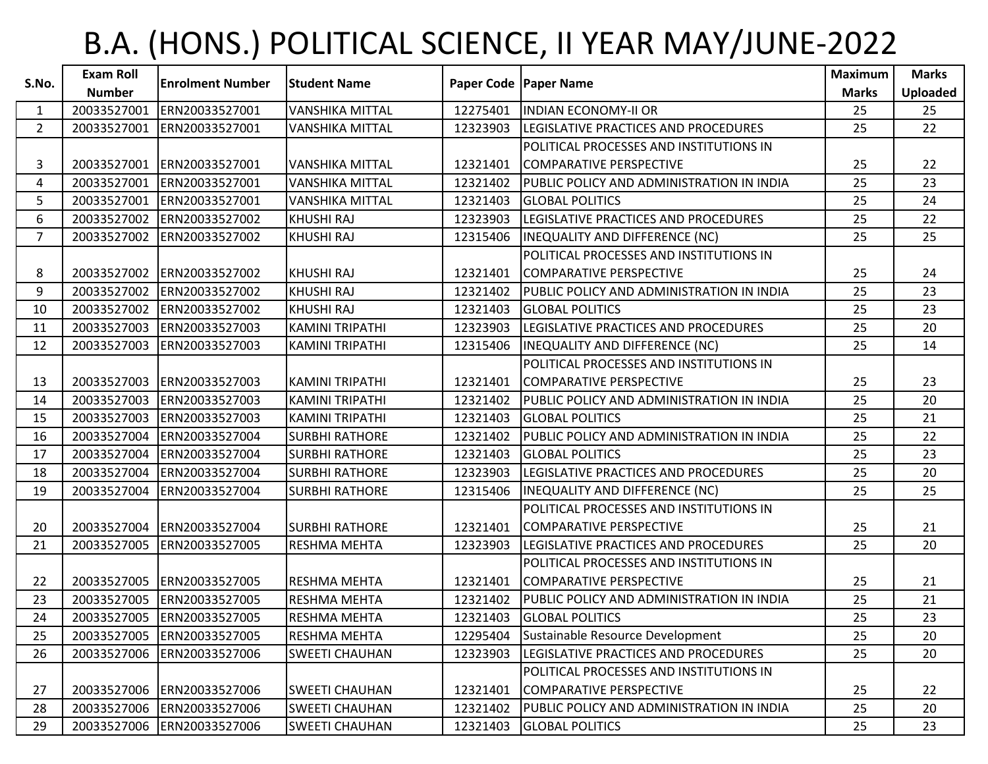## B.A. (HONS.) POLITICAL SCIENCE, II YEAR MAY/JUNE-2022

| S.No.       | <b>Exam Roll</b> | <b>Enrolment Number</b>    |                         |          |                                           | <b>Maximum</b> | <b>Marks</b>    |
|-------------|------------------|----------------------------|-------------------------|----------|-------------------------------------------|----------------|-----------------|
|             | <b>Number</b>    |                            | <b>Student Name</b>     |          | Paper Code   Paper Name                   | <b>Marks</b>   | <b>Uploaded</b> |
| 1           | 20033527001      | ERN20033527001             | <b>VANSHIKA MITTAL</b>  | 12275401 | <b>INDIAN ECONOMY-II OR</b>               | 25             | 25              |
| $2^{\circ}$ | 20033527001      | ERN20033527001             | <b>VANSHIKA MITTAL</b>  | 12323903 | LEGISLATIVE PRACTICES AND PROCEDURES      | 25             | 22              |
|             |                  |                            |                         |          | POLITICAL PROCESSES AND INSTITUTIONS IN   |                |                 |
| 3           | 20033527001      | ERN20033527001             | <b>VANSHIKA MITTAL</b>  | 12321401 | COMPARATIVE PERSPECTIVE                   | 25             | 22              |
| 4           | 20033527001      | ERN20033527001             | <b>VANSHIKA MITTAL</b>  | 12321402 | PUBLIC POLICY AND ADMINISTRATION IN INDIA | 25             | 23              |
| 5           | 20033527001      | ERN20033527001             | <b>VANSHIKA MITTAL</b>  | 12321403 | <b>GLOBAL POLITICS</b>                    | 25             | 24              |
| 6           | 20033527002      | ERN20033527002             | <b>KHUSHI RAJ</b>       | 12323903 | LEGISLATIVE PRACTICES AND PROCEDURES      | 25             | 22              |
| $7^{\circ}$ | 20033527002      | ERN20033527002             | <b>KHUSHI RAJ</b>       | 12315406 | <b>INEQUALITY AND DIFFERENCE (NC)</b>     | 25             | 25              |
|             |                  |                            |                         |          | POLITICAL PROCESSES AND INSTITUTIONS IN   |                |                 |
| 8           | 20033527002      | ERN20033527002             | KHUSHI RAJ              | 12321401 | COMPARATIVE PERSPECTIVE                   | 25             | 24              |
| 9           | 20033527002      | ERN20033527002             | <b>KHUSHI RAJ</b>       | 12321402 | PUBLIC POLICY AND ADMINISTRATION IN INDIA | 25             | 23              |
| 10          | 20033527002      | ERN20033527002             | KHUSHI RAJ              | 12321403 | <b>GLOBAL POLITICS</b>                    | 25             | 23              |
| 11          | 20033527003      | ERN20033527003             | <b>KAMINI TRIPATHI</b>  | 12323903 | LEGISLATIVE PRACTICES AND PROCEDURES      | 25             | 20              |
| 12          | 20033527003      | ERN20033527003             | <b>KAMINI TRIPATHI</b>  | 12315406 | INEQUALITY AND DIFFERENCE (NC)            | 25             | 14              |
|             |                  |                            |                         |          | POLITICAL PROCESSES AND INSTITUTIONS IN   |                |                 |
| 13          | 20033527003      | ERN20033527003             | KAMINI TRIPATHI         | 12321401 | COMPARATIVE PERSPECTIVE                   | 25             | 23              |
| 14          | 20033527003      | ERN20033527003             | KAMINI TRIPATHI         | 12321402 | PUBLIC POLICY AND ADMINISTRATION IN INDIA | 25             | 20              |
| 15          | 20033527003      | ERN20033527003             | <b>KAMINI TRIPATHI</b>  | 12321403 | <b>GLOBAL POLITICS</b>                    | 25             | 21              |
| 16          | 20033527004      | ERN20033527004             | <b>SURBHI RATHORE</b>   | 12321402 | PUBLIC POLICY AND ADMINISTRATION IN INDIA | 25             | 22              |
| 17          | 20033527004      | ERN20033527004             | <b>SURBHI RATHORE</b>   | 12321403 | <b>GLOBAL POLITICS</b>                    | 25             | 23              |
| 18          | 20033527004      | ERN20033527004             | <b>SURBHI RATHORE</b>   | 12323903 | LEGISLATIVE PRACTICES AND PROCEDURES      | 25             | 20              |
| 19          | 20033527004      | ERN20033527004             | <b>SURBHI RATHORE</b>   | 12315406 | INEQUALITY AND DIFFERENCE (NC)            | 25             | 25              |
|             |                  |                            |                         |          | POLITICAL PROCESSES AND INSTITUTIONS IN   |                |                 |
| 20          |                  | 20033527004 ERN20033527004 | <b>I</b> SURBHI RATHORE | 12321401 | COMPARATIVE PERSPECTIVE                   | 25             | 21              |
| 21          | 20033527005      | ERN20033527005             | <b>RESHMA MEHTA</b>     | 12323903 | LEGISLATIVE PRACTICES AND PROCEDURES      | 25             | 20              |
|             |                  |                            |                         |          | POLITICAL PROCESSES AND INSTITUTIONS IN   |                |                 |
| 22          | 20033527005      | ERN20033527005             | <b>RESHMA MEHTA</b>     | 12321401 | COMPARATIVE PERSPECTIVE                   | 25             | 21              |
| 23          | 20033527005      | ERN20033527005             | <b>RESHMA MEHTA</b>     | 12321402 | PUBLIC POLICY AND ADMINISTRATION IN INDIA | 25             | 21              |
| 24          |                  | 20033527005 ERN20033527005 | <b>RESHMA MEHTA</b>     | 12321403 | <b>GLOBAL POLITICS</b>                    | 25             | 23              |
| 25          | 20033527005      | ERN20033527005             | <b>RESHMA MEHTA</b>     | 12295404 | Sustainable Resource Development          | 25             | 20              |
| 26          | 20033527006      | ERN20033527006             | <b>SWEETI CHAUHAN</b>   | 12323903 | LEGISLATIVE PRACTICES AND PROCEDURES      | 25             | 20              |
|             |                  |                            |                         |          | POLITICAL PROCESSES AND INSTITUTIONS IN   |                |                 |
| 27          | 20033527006      | ERN20033527006             | <b>SWEETI CHAUHAN</b>   | 12321401 | COMPARATIVE PERSPECTIVE                   | 25             | 22              |
| 28          | 20033527006      | ERN20033527006             | <b>SWEETI CHAUHAN</b>   | 12321402 | PUBLIC POLICY AND ADMINISTRATION IN INDIA | 25             | 20              |
| 29          |                  | 20033527006 ERN20033527006 | <b>SWEETI CHAUHAN</b>   | 12321403 | <b>GLOBAL POLITICS</b>                    | 25             | 23              |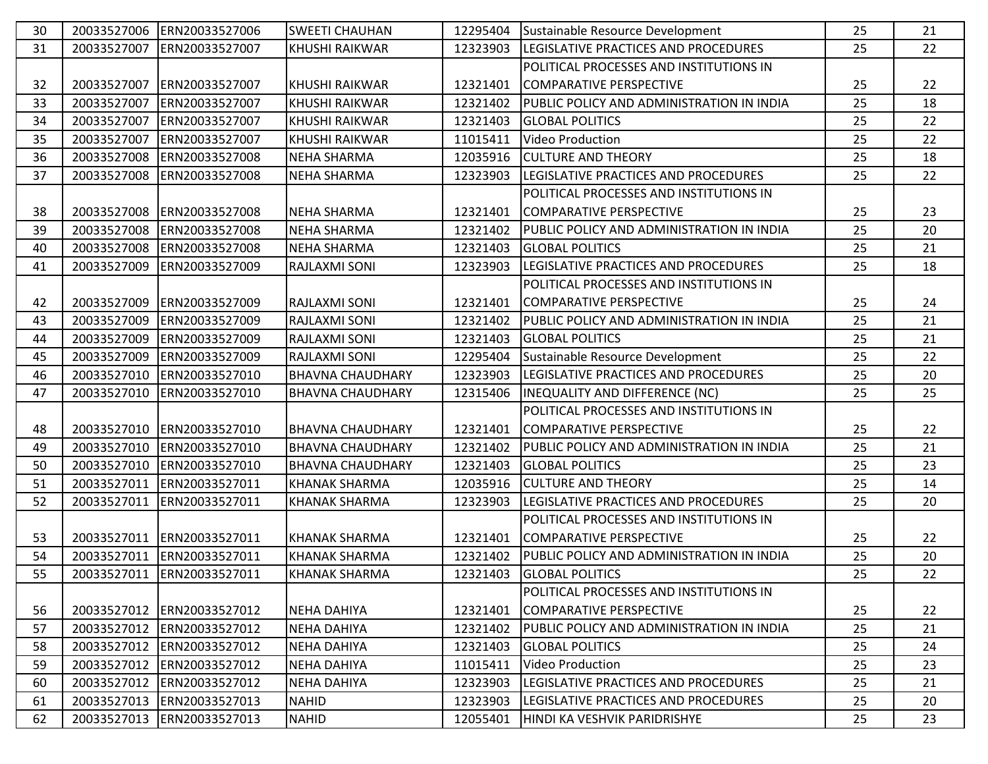| 30 | 20033527006 | ERN20033527006             | <b>SWEETI CHAUHAN</b>   | 12295404 | Sustainable Resource Development          | 25 | 21 |
|----|-------------|----------------------------|-------------------------|----------|-------------------------------------------|----|----|
| 31 | 20033527007 | ERN20033527007             | <b>KHUSHI RAIKWAR</b>   | 12323903 | LEGISLATIVE PRACTICES AND PROCEDURES      | 25 | 22 |
|    |             |                            |                         |          | POLITICAL PROCESSES AND INSTITUTIONS IN   |    |    |
| 32 | 20033527007 | ERN20033527007             | <b>KHUSHI RAIKWAR</b>   | 12321401 | COMPARATIVE PERSPECTIVE                   | 25 | 22 |
| 33 | 20033527007 | ERN20033527007             | <b>KHUSHI RAIKWAR</b>   | 12321402 | PUBLIC POLICY AND ADMINISTRATION IN INDIA | 25 | 18 |
| 34 | 20033527007 | ERN20033527007             | <b>KHUSHI RAIKWAR</b>   | 12321403 | <b>GLOBAL POLITICS</b>                    | 25 | 22 |
| 35 | 20033527007 | ERN20033527007             | <b>KHUSHI RAIKWAR</b>   | 11015411 | <b>Video Production</b>                   | 25 | 22 |
| 36 | 20033527008 | ERN20033527008             | <b>NEHA SHARMA</b>      | 12035916 | <b>CULTURE AND THEORY</b>                 | 25 | 18 |
| 37 | 20033527008 | ERN20033527008             | <b>NEHA SHARMA</b>      | 12323903 | LEGISLATIVE PRACTICES AND PROCEDURES      | 25 | 22 |
|    |             |                            |                         |          | POLITICAL PROCESSES AND INSTITUTIONS IN   |    |    |
| 38 |             | 20033527008 ERN20033527008 | <b>NEHA SHARMA</b>      | 12321401 | COMPARATIVE PERSPECTIVE                   | 25 | 23 |
| 39 | 20033527008 | ERN20033527008             | <b>NEHA SHARMA</b>      | 12321402 | PUBLIC POLICY AND ADMINISTRATION IN INDIA | 25 | 20 |
| 40 | 20033527008 | ERN20033527008             | <b>NEHA SHARMA</b>      | 12321403 | <b>GLOBAL POLITICS</b>                    | 25 | 21 |
| 41 | 20033527009 | ERN20033527009             | <b>RAJLAXMI SONI</b>    | 12323903 | LEGISLATIVE PRACTICES AND PROCEDURES      | 25 | 18 |
|    |             |                            |                         |          | POLITICAL PROCESSES AND INSTITUTIONS IN   |    |    |
| 42 | 20033527009 | ERN20033527009             | RAJLAXMI SONI           | 12321401 | COMPARATIVE PERSPECTIVE                   | 25 | 24 |
| 43 | 20033527009 | ERN20033527009             | RAJLAXMI SONI           | 12321402 | PUBLIC POLICY AND ADMINISTRATION IN INDIA | 25 | 21 |
| 44 | 20033527009 | ERN20033527009             | RAJLAXMI SONI           | 12321403 | <b>GLOBAL POLITICS</b>                    | 25 | 21 |
| 45 | 20033527009 | ERN20033527009             | <b>RAJLAXMI SONI</b>    | 12295404 | Sustainable Resource Development          | 25 | 22 |
| 46 | 20033527010 | ERN20033527010             | <b>BHAVNA CHAUDHARY</b> | 12323903 | LEGISLATIVE PRACTICES AND PROCEDURES      | 25 | 20 |
| 47 | 20033527010 | ERN20033527010             | <b>BHAVNA CHAUDHARY</b> | 12315406 | INEQUALITY AND DIFFERENCE (NC)            | 25 | 25 |
|    |             |                            |                         |          | POLITICAL PROCESSES AND INSTITUTIONS IN   |    |    |
| 48 |             | 20033527010 ERN20033527010 | <b>BHAVNA CHAUDHARY</b> | 12321401 | COMPARATIVE PERSPECTIVE                   | 25 | 22 |
| 49 | 20033527010 | ERN20033527010             | <b>BHAVNA CHAUDHARY</b> | 12321402 | PUBLIC POLICY AND ADMINISTRATION IN INDIA | 25 | 21 |
| 50 |             | 20033527010 ERN20033527010 | <b>BHAVNA CHAUDHARY</b> | 12321403 | <b>GLOBAL POLITICS</b>                    | 25 | 23 |
| 51 | 20033527011 | ERN20033527011             | <b>KHANAK SHARMA</b>    | 12035916 | <b>CULTURE AND THEORY</b>                 | 25 | 14 |
| 52 | 20033527011 | ERN20033527011             | <b>KHANAK SHARMA</b>    | 12323903 | LEGISLATIVE PRACTICES AND PROCEDURES      | 25 | 20 |
|    |             |                            |                         |          | POLITICAL PROCESSES AND INSTITUTIONS IN   |    |    |
| 53 |             | 20033527011 ERN20033527011 | <b>KHANAK SHARMA</b>    | 12321401 | COMPARATIVE PERSPECTIVE                   | 25 | 22 |
| 54 | 20033527011 | ERN20033527011             | <b>KHANAK SHARMA</b>    | 12321402 | PUBLIC POLICY AND ADMINISTRATION IN INDIA | 25 | 20 |
| 55 |             | 20033527011 ERN20033527011 | <b>KHANAK SHARMA</b>    | 12321403 | <b>GLOBAL POLITICS</b>                    | 25 | 22 |
|    |             |                            |                         |          | POLITICAL PROCESSES AND INSTITUTIONS IN   |    |    |
| 56 |             | 20033527012 ERN20033527012 | <b>NEHA DAHIYA</b>      | 12321401 | COMPARATIVE PERSPECTIVE                   | 25 | 22 |
| 57 | 20033527012 | ERN20033527012             | <b>NEHA DAHIYA</b>      | 12321402 | PUBLIC POLICY AND ADMINISTRATION IN INDIA | 25 | 21 |
| 58 | 20033527012 | ERN20033527012             | <b>NEHA DAHIYA</b>      | 12321403 | <b>GLOBAL POLITICS</b>                    | 25 | 24 |
| 59 |             | 20033527012 ERN20033527012 | <b>NEHA DAHIYA</b>      | 11015411 | <b>Video Production</b>                   | 25 | 23 |
| 60 |             | 20033527012 ERN20033527012 | <b>NEHA DAHIYA</b>      | 12323903 | LEGISLATIVE PRACTICES AND PROCEDURES      | 25 | 21 |
| 61 |             | 20033527013 ERN20033527013 | <b>NAHID</b>            | 12323903 | LEGISLATIVE PRACTICES AND PROCEDURES      | 25 | 20 |
| 62 |             | 20033527013 ERN20033527013 | <b>NAHID</b>            | 12055401 | HINDI KA VESHVIK PARIDRISHYE              | 25 | 23 |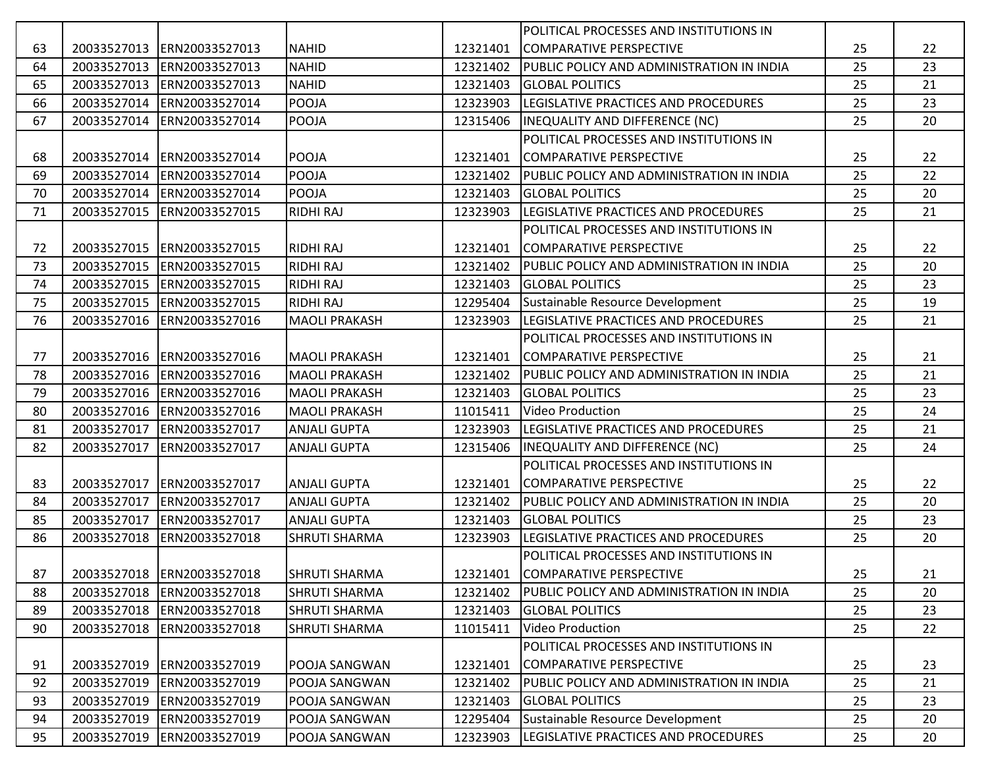|    |             |                             |                      |          | POLITICAL PROCESSES AND INSTITUTIONS IN   |    |    |
|----|-------------|-----------------------------|----------------------|----------|-------------------------------------------|----|----|
| 63 |             | 20033527013 ERN20033527013  | <b>NAHID</b>         | 12321401 | COMPARATIVE PERSPECTIVE                   | 25 | 22 |
| 64 |             | 20033527013 ERN20033527013  | <b>NAHID</b>         | 12321402 | PUBLIC POLICY AND ADMINISTRATION IN INDIA | 25 | 23 |
| 65 |             | 20033527013 ERN20033527013  | <b>NAHID</b>         | 12321403 | <b>GLOBAL POLITICS</b>                    | 25 | 21 |
| 66 |             | 20033527014 ERN20033527014  | <b>POOJA</b>         | 12323903 | LEGISLATIVE PRACTICES AND PROCEDURES      | 25 | 23 |
| 67 |             | 20033527014 ERN20033527014  | <b>POOJA</b>         | 12315406 | <b>INEQUALITY AND DIFFERENCE (NC)</b>     | 25 | 20 |
|    |             |                             |                      |          | POLITICAL PROCESSES AND INSTITUTIONS IN   |    |    |
| 68 |             | 20033527014 ERN20033527014  | POOJA                | 12321401 | COMPARATIVE PERSPECTIVE                   | 25 | 22 |
| 69 |             | 20033527014 ERN20033527014  | POOJA                | 12321402 | PUBLIC POLICY AND ADMINISTRATION IN INDIA | 25 | 22 |
| 70 |             | 20033527014 ERN20033527014  | POOJA                | 12321403 | <b>GLOBAL POLITICS</b>                    | 25 | 20 |
| 71 |             | 20033527015 ERN20033527015  | <b>RIDHI RAJ</b>     | 12323903 | LEGISLATIVE PRACTICES AND PROCEDURES      | 25 | 21 |
|    |             |                             |                      |          | POLITICAL PROCESSES AND INSTITUTIONS IN   |    |    |
| 72 |             | 20033527015 ERN20033527015  | <b>RIDHI RAJ</b>     | 12321401 | COMPARATIVE PERSPECTIVE                   | 25 | 22 |
| 73 |             | 20033527015 ERN20033527015  | <b>RIDHI RAJ</b>     | 12321402 | PUBLIC POLICY AND ADMINISTRATION IN INDIA | 25 | 20 |
| 74 |             | 20033527015  ERN20033527015 | <b>RIDHI RAJ</b>     | 12321403 | <b>GLOBAL POLITICS</b>                    | 25 | 23 |
| 75 |             | 20033527015 ERN20033527015  | <b>RIDHI RAJ</b>     | 12295404 | Sustainable Resource Development          | 25 | 19 |
| 76 |             | 20033527016 ERN20033527016  | <b>MAOLI PRAKASH</b> | 12323903 | LEGISLATIVE PRACTICES AND PROCEDURES      | 25 | 21 |
|    |             |                             |                      |          | POLITICAL PROCESSES AND INSTITUTIONS IN   |    |    |
| 77 |             | 20033527016 ERN20033527016  | <b>MAOLI PRAKASH</b> | 12321401 | <b>ICOMPARATIVE PERSPECTIVE</b>           | 25 | 21 |
| 78 |             | 20033527016 ERN20033527016  | <b>MAOLI PRAKASH</b> | 12321402 | PUBLIC POLICY AND ADMINISTRATION IN INDIA | 25 | 21 |
| 79 |             | 20033527016 ERN20033527016  | <b>MAOLI PRAKASH</b> | 12321403 | <b>GLOBAL POLITICS</b>                    | 25 | 23 |
| 80 | 20033527016 | ERN20033527016              | <b>MAOLI PRAKASH</b> | 11015411 | <b>Video Production</b>                   | 25 | 24 |
| 81 | 20033527017 | ERN20033527017              | <b>ANJALI GUPTA</b>  | 12323903 | LEGISLATIVE PRACTICES AND PROCEDURES      | 25 | 21 |
| 82 | 20033527017 | ERN20033527017              | <b>ANJALI GUPTA</b>  | 12315406 | INEQUALITY AND DIFFERENCE (NC)            | 25 | 24 |
|    |             |                             |                      |          | POLITICAL PROCESSES AND INSTITUTIONS IN   |    |    |
| 83 |             | 20033527017 ERN20033527017  | <b>ANJALI GUPTA</b>  | 12321401 | COMPARATIVE PERSPECTIVE                   | 25 | 22 |
| 84 | 20033527017 | ERN20033527017              | <b>ANJALI GUPTA</b>  | 12321402 | PUBLIC POLICY AND ADMINISTRATION IN INDIA | 25 | 20 |
| 85 |             | 20033527017 ERN20033527017  | <b>ANJALI GUPTA</b>  | 12321403 | <b>GLOBAL POLITICS</b>                    | 25 | 23 |
| 86 |             | 20033527018 ERN20033527018  | <b>SHRUTI SHARMA</b> | 12323903 | LEGISLATIVE PRACTICES AND PROCEDURES      | 25 | 20 |
|    |             |                             |                      |          | POLITICAL PROCESSES AND INSTITUTIONS IN   |    |    |
| 87 |             | 20033527018 ERN20033527018  | <b>SHRUTI SHARMA</b> | 12321401 | COMPARATIVE PERSPECTIVE                   | 25 | 21 |
| 88 |             | 20033527018 ERN20033527018  | <b>SHRUTI SHARMA</b> | 12321402 | PUBLIC POLICY AND ADMINISTRATION IN INDIA | 25 | 20 |
| 89 |             | 20033527018 ERN20033527018  | <b>SHRUTI SHARMA</b> | 12321403 | <b>GLOBAL POLITICS</b>                    | 25 | 23 |
| 90 |             | 20033527018 ERN20033527018  | <b>SHRUTI SHARMA</b> | 11015411 | <b>Video Production</b>                   | 25 | 22 |
|    |             |                             |                      |          | POLITICAL PROCESSES AND INSTITUTIONS IN   |    |    |
| 91 |             | 20033527019 ERN20033527019  | POOJA SANGWAN        | 12321401 | COMPARATIVE PERSPECTIVE                   | 25 | 23 |
| 92 |             | 20033527019 ERN20033527019  | POOJA SANGWAN        | 12321402 | PUBLIC POLICY AND ADMINISTRATION IN INDIA | 25 | 21 |
| 93 |             | 20033527019 ERN20033527019  | POOJA SANGWAN        | 12321403 | <b>GLOBAL POLITICS</b>                    | 25 | 23 |
| 94 |             | 20033527019 ERN20033527019  | POOJA SANGWAN        | 12295404 | Sustainable Resource Development          | 25 | 20 |
| 95 |             | 20033527019 ERN20033527019  | POOJA SANGWAN        | 12323903 | LEGISLATIVE PRACTICES AND PROCEDURES      | 25 | 20 |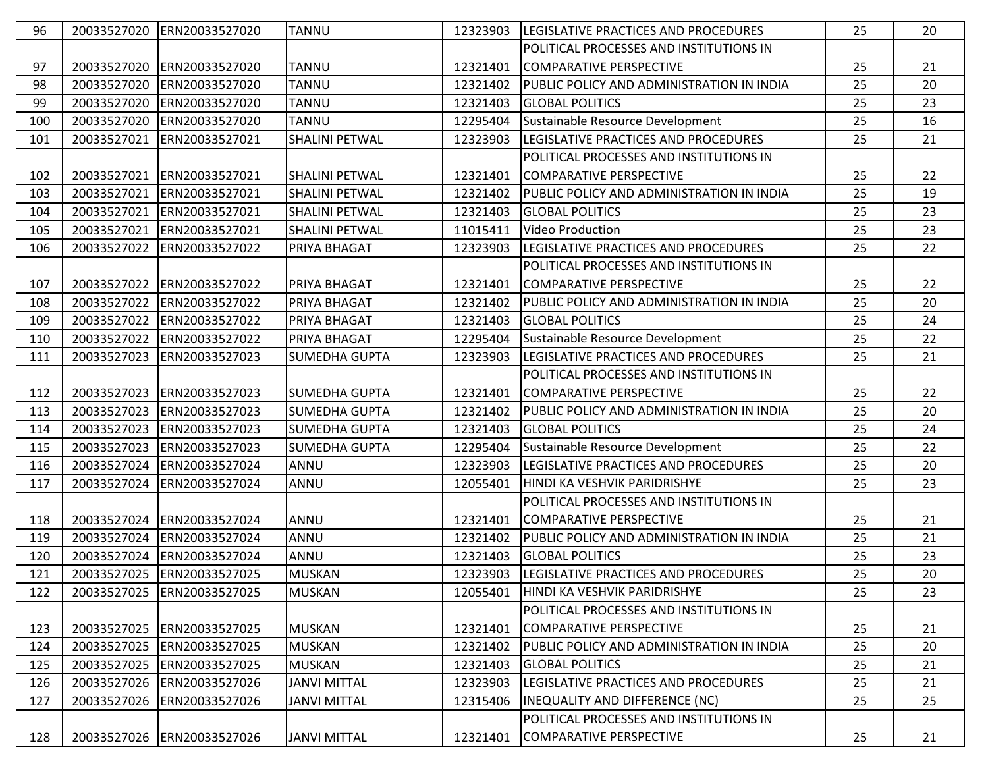| 96  | 20033527020 | ERN20033527020             | <b>TANNU</b>          | 12323903 | LEGISLATIVE PRACTICES AND PROCEDURES      | 25 | 20 |
|-----|-------------|----------------------------|-----------------------|----------|-------------------------------------------|----|----|
|     |             |                            |                       |          | POLITICAL PROCESSES AND INSTITUTIONS IN   |    |    |
| 97  | 20033527020 | ERN20033527020             | <b>TANNU</b>          | 12321401 | COMPARATIVE PERSPECTIVE                   | 25 | 21 |
| 98  | 20033527020 | ERN20033527020             | <b>TANNU</b>          | 12321402 | PUBLIC POLICY AND ADMINISTRATION IN INDIA | 25 | 20 |
| 99  | 20033527020 | ERN20033527020             | <b>TANNU</b>          | 12321403 | <b>GLOBAL POLITICS</b>                    | 25 | 23 |
| 100 | 20033527020 | ERN20033527020             | <b>TANNU</b>          | 12295404 | Sustainable Resource Development          | 25 | 16 |
| 101 | 20033527021 | ERN20033527021             | <b>SHALINI PETWAL</b> | 12323903 | LEGISLATIVE PRACTICES AND PROCEDURES      | 25 | 21 |
|     |             |                            |                       |          | POLITICAL PROCESSES AND INSTITUTIONS IN   |    |    |
| 102 | 20033527021 | ERN20033527021             | <b>SHALINI PETWAL</b> | 12321401 | COMPARATIVE PERSPECTIVE                   | 25 | 22 |
| 103 | 20033527021 | ERN20033527021             | <b>SHALINI PETWAL</b> | 12321402 | PUBLIC POLICY AND ADMINISTRATION IN INDIA | 25 | 19 |
| 104 | 20033527021 | ERN20033527021             | <b>SHALINI PETWAL</b> | 12321403 | <b>GLOBAL POLITICS</b>                    | 25 | 23 |
| 105 | 20033527021 | ERN20033527021             | <b>SHALINI PETWAL</b> | 11015411 | <b>Video Production</b>                   | 25 | 23 |
| 106 | 20033527022 | ERN20033527022             | PRIYA BHAGAT          | 12323903 | LEGISLATIVE PRACTICES AND PROCEDURES      | 25 | 22 |
|     |             |                            |                       |          | POLITICAL PROCESSES AND INSTITUTIONS IN   |    |    |
| 107 | 20033527022 | ERN20033527022             | PRIYA BHAGAT          | 12321401 | COMPARATIVE PERSPECTIVE                   | 25 | 22 |
| 108 | 20033527022 | ERN20033527022             | PRIYA BHAGAT          | 12321402 | PUBLIC POLICY AND ADMINISTRATION IN INDIA | 25 | 20 |
| 109 | 20033527022 | ERN20033527022             | PRIYA BHAGAT          | 12321403 | <b>GLOBAL POLITICS</b>                    | 25 | 24 |
| 110 | 20033527022 | ERN20033527022             | PRIYA BHAGAT          | 12295404 | Sustainable Resource Development          | 25 | 22 |
| 111 | 20033527023 | ERN20033527023             | <b>SUMEDHA GUPTA</b>  | 12323903 | LEGISLATIVE PRACTICES AND PROCEDURES      | 25 | 21 |
|     |             |                            |                       |          | POLITICAL PROCESSES AND INSTITUTIONS IN   |    |    |
| 112 | 20033527023 | ERN20033527023             | <b>SUMEDHA GUPTA</b>  | 12321401 | COMPARATIVE PERSPECTIVE                   | 25 | 22 |
| 113 | 20033527023 | ERN20033527023             | <b>SUMEDHA GUPTA</b>  | 12321402 | PUBLIC POLICY AND ADMINISTRATION IN INDIA | 25 | 20 |
| 114 | 20033527023 | ERN20033527023             | <b>SUMEDHA GUPTA</b>  | 12321403 | <b>GLOBAL POLITICS</b>                    | 25 | 24 |
| 115 | 20033527023 | ERN20033527023             | <b>SUMEDHA GUPTA</b>  | 12295404 | Sustainable Resource Development          | 25 | 22 |
| 116 | 20033527024 | ERN20033527024             | ANNU                  | 12323903 | LEGISLATIVE PRACTICES AND PROCEDURES      | 25 | 20 |
| 117 | 20033527024 | ERN20033527024             | ANNU                  | 12055401 | HINDI KA VESHVIK PARIDRISHYE              | 25 | 23 |
|     |             |                            |                       |          | POLITICAL PROCESSES AND INSTITUTIONS IN   |    |    |
| 118 | 20033527024 | ERN20033527024             | ANNU                  | 12321401 | ICOMPARATIVE PERSPECTIVE                  | 25 | 21 |
| 119 | 20033527024 | ERN20033527024             | ANNU                  | 12321402 | PUBLIC POLICY AND ADMINISTRATION IN INDIA | 25 | 21 |
| 120 | 20033527024 | ERN20033527024             | ANNU                  | 12321403 | <b>GLOBAL POLITICS</b>                    | 25 | 23 |
| 121 |             | 20033527025 ERN20033527025 | <b>MUSKAN</b>         | 12323903 | LEGISLATIVE PRACTICES AND PROCEDURES      | 25 | 20 |
| 122 | 20033527025 | ERN20033527025             | <b>MUSKAN</b>         | 12055401 | HINDI KA VESHVIK PARIDRISHYE              | 25 | 23 |
|     |             |                            |                       |          | POLITICAL PROCESSES AND INSTITUTIONS IN   |    |    |
| 123 | 20033527025 | ERN20033527025             | <b>MUSKAN</b>         | 12321401 | COMPARATIVE PERSPECTIVE                   | 25 | 21 |
| 124 |             | 20033527025 ERN20033527025 | <b>MUSKAN</b>         | 12321402 | PUBLIC POLICY AND ADMINISTRATION IN INDIA | 25 | 20 |
| 125 |             | 20033527025 ERN20033527025 | <b>MUSKAN</b>         | 12321403 | <b>GLOBAL POLITICS</b>                    | 25 | 21 |
| 126 |             | 20033527026 ERN20033527026 | <b>JANVI MITTAL</b>   | 12323903 | LEGISLATIVE PRACTICES AND PROCEDURES      | 25 | 21 |
| 127 | 20033527026 | ERN20033527026             | <b>JANVI MITTAL</b>   | 12315406 | IINEQUALITY AND DIFFERENCE (NC)           | 25 | 25 |
|     |             |                            |                       |          | POLITICAL PROCESSES AND INSTITUTIONS IN   |    |    |
| 128 |             | 20033527026 ERN20033527026 | <b>JANVI MITTAL</b>   | 12321401 | COMPARATIVE PERSPECTIVE                   | 25 | 21 |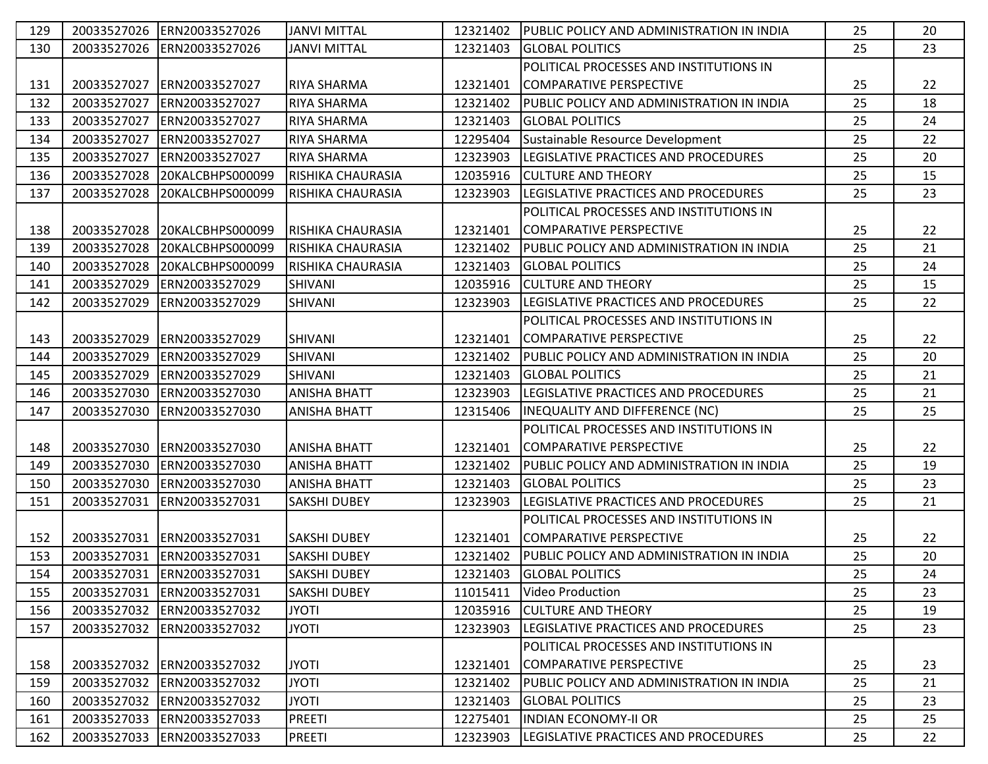| 129 |             | 20033527026 ERN20033527026 | <b>JANVI MITTAL</b>      | 12321402 | PUBLIC POLICY AND ADMINISTRATION IN INDIA    | 25 | 20 |
|-----|-------------|----------------------------|--------------------------|----------|----------------------------------------------|----|----|
| 130 | 20033527026 | ERN20033527026             | <b>JANVI MITTAL</b>      | 12321403 | <b>GLOBAL POLITICS</b>                       | 25 | 23 |
|     |             |                            |                          |          | POLITICAL PROCESSES AND INSTITUTIONS IN      |    |    |
| 131 | 20033527027 | ERN20033527027             | <b>RIYA SHARMA</b>       | 12321401 | COMPARATIVE PERSPECTIVE                      | 25 | 22 |
| 132 | 20033527027 | ERN20033527027             | RIYA SHARMA              | 12321402 | PUBLIC POLICY AND ADMINISTRATION IN INDIA    | 25 | 18 |
| 133 | 20033527027 | ERN20033527027             | <b>RIYA SHARMA</b>       | 12321403 | <b>GLOBAL POLITICS</b>                       | 25 | 24 |
| 134 | 20033527027 | ERN20033527027             | RIYA SHARMA              | 12295404 | Sustainable Resource Development             | 25 | 22 |
| 135 | 20033527027 | ERN20033527027             | <b>RIYA SHARMA</b>       | 12323903 | LEGISLATIVE PRACTICES AND PROCEDURES         | 25 | 20 |
| 136 | 20033527028 | 20KALCBHPS000099           | <b>RISHIKA CHAURASIA</b> | 12035916 | <b>CULTURE AND THEORY</b>                    | 25 | 15 |
| 137 | 20033527028 | 20KALCBHPS000099           | RISHIKA CHAURASIA        | 12323903 | LEGISLATIVE PRACTICES AND PROCEDURES         | 25 | 23 |
|     |             |                            |                          |          | POLITICAL PROCESSES AND INSTITUTIONS IN      |    |    |
| 138 | 20033527028 | 20KALCBHPS000099           | RISHIKA CHAURASIA        | 12321401 | COMPARATIVE PERSPECTIVE                      | 25 | 22 |
| 139 | 20033527028 | 20KALCBHPS000099           | RISHIKA CHAURASIA        | 12321402 | PUBLIC POLICY AND ADMINISTRATION IN INDIA    | 25 | 21 |
| 140 | 20033527028 | 20KALCBHPS000099           | IRISHIKA CHAURASIA       | 12321403 | <b>GLOBAL POLITICS</b>                       | 25 | 24 |
| 141 | 20033527029 | ERN20033527029             | <b>SHIVANI</b>           | 12035916 | <b>CULTURE AND THEORY</b>                    | 25 | 15 |
| 142 | 20033527029 | ERN20033527029             | SHIVANI                  | 12323903 | LEGISLATIVE PRACTICES AND PROCEDURES         | 25 | 22 |
|     |             |                            |                          |          | POLITICAL PROCESSES AND INSTITUTIONS IN      |    |    |
| 143 | 20033527029 | ERN20033527029             | <b>SHIVANI</b>           | 12321401 | COMPARATIVE PERSPECTIVE                      | 25 | 22 |
| 144 | 20033527029 | ERN20033527029             | SHIVANI                  | 12321402 | PUBLIC POLICY AND ADMINISTRATION IN INDIA    | 25 | 20 |
| 145 | 20033527029 | ERN20033527029             | <b>SHIVANI</b>           | 12321403 | <b>GLOBAL POLITICS</b>                       | 25 | 21 |
| 146 | 20033527030 | ERN20033527030             | <b>ANISHA BHATT</b>      | 12323903 | <b>LEGISLATIVE PRACTICES AND PROCEDURES</b>  | 25 | 21 |
| 147 | 20033527030 | ERN20033527030             | <b>ANISHA BHATT</b>      | 12315406 | <b>INEQUALITY AND DIFFERENCE (NC)</b>        | 25 | 25 |
|     |             |                            |                          |          | POLITICAL PROCESSES AND INSTITUTIONS IN      |    |    |
| 148 | 20033527030 | ERN20033527030             | <b>ANISHA BHATT</b>      | 12321401 | COMPARATIVE PERSPECTIVE                      | 25 | 22 |
| 149 | 20033527030 | ERN20033527030             | <b>ANISHA BHATT</b>      | 12321402 | PUBLIC POLICY AND ADMINISTRATION IN INDIA    | 25 | 19 |
| 150 | 20033527030 | ERN20033527030             | <b>ANISHA BHATT</b>      | 12321403 | <b>GLOBAL POLITICS</b>                       | 25 | 23 |
| 151 | 20033527031 | ERN20033527031             | <b>SAKSHI DUBEY</b>      | 12323903 | LEGISLATIVE PRACTICES AND PROCEDURES         | 25 | 21 |
|     |             |                            |                          |          | POLITICAL PROCESSES AND INSTITUTIONS IN      |    |    |
| 152 |             | 20033527031 ERN20033527031 | <b>SAKSHI DUBEY</b>      | 12321401 | COMPARATIVE PERSPECTIVE                      | 25 | 22 |
| 153 |             | 20033527031 ERN20033527031 | <b>SAKSHI DUBEY</b>      | 12321402 | PUBLIC POLICY AND ADMINISTRATION IN INDIA    | 25 | 20 |
| 154 |             | 20033527031 ERN20033527031 | <b>SAKSHI DUBEY</b>      | 12321403 | <b>GLOBAL POLITICS</b>                       | 25 | 24 |
| 155 |             | 20033527031 ERN20033527031 | <b>SAKSHI DUBEY</b>      | 11015411 | Video Production                             | 25 | 23 |
| 156 |             | 20033527032 ERN20033527032 | <b>JYOTI</b>             | 12035916 | <b>CULTURE AND THEORY</b>                    | 25 | 19 |
| 157 |             | 20033527032 ERN20033527032 | <b>JYOTI</b>             | 12323903 | <b>ILEGISLATIVE PRACTICES AND PROCEDURES</b> | 25 | 23 |
|     |             |                            |                          |          | POLITICAL PROCESSES AND INSTITUTIONS IN      |    |    |
| 158 |             | 20033527032 ERN20033527032 | <b>JYOTI</b>             | 12321401 | COMPARATIVE PERSPECTIVE                      | 25 | 23 |
| 159 |             | 20033527032 ERN20033527032 | <b>JYOTI</b>             | 12321402 | PUBLIC POLICY AND ADMINISTRATION IN INDIA    | 25 | 21 |
| 160 |             | 20033527032 ERN20033527032 | <b>JYOTI</b>             | 12321403 | <b>GLOBAL POLITICS</b>                       | 25 | 23 |
| 161 |             | 20033527033 ERN20033527033 | <b>PREETI</b>            | 12275401 | <b>INDIAN ECONOMY-II OR</b>                  | 25 | 25 |
| 162 |             | 20033527033 ERN20033527033 | <b>PREETI</b>            | 12323903 | LEGISLATIVE PRACTICES AND PROCEDURES         | 25 | 22 |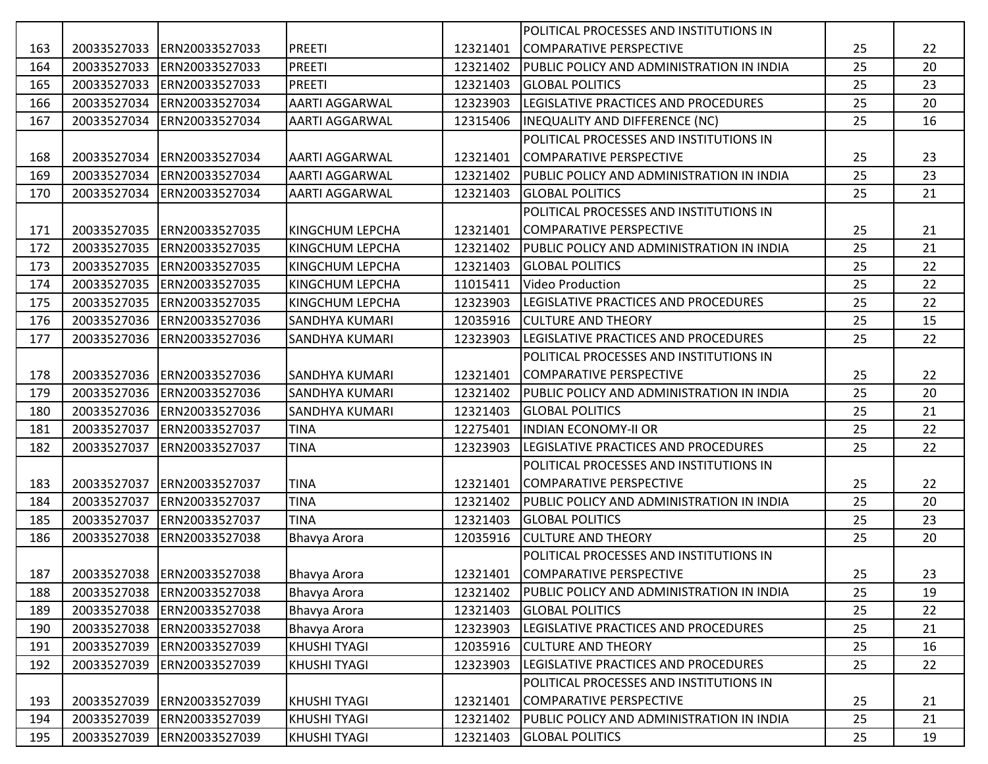|     |             |                            |                        |          | POLITICAL PROCESSES AND INSTITUTIONS IN          |    |    |
|-----|-------------|----------------------------|------------------------|----------|--------------------------------------------------|----|----|
| 163 | 20033527033 | ERN20033527033             | <b>PREETI</b>          | 12321401 | COMPARATIVE PERSPECTIVE                          | 25 | 22 |
| 164 | 20033527033 | ERN20033527033             | <b>PREETI</b>          | 12321402 | PUBLIC POLICY AND ADMINISTRATION IN INDIA        | 25 | 20 |
| 165 |             | 20033527033 ERN20033527033 | <b>PREETI</b>          | 12321403 | <b>GLOBAL POLITICS</b>                           | 25 | 23 |
| 166 | 20033527034 | ERN20033527034             | <b>AARTI AGGARWAL</b>  | 12323903 | LEGISLATIVE PRACTICES AND PROCEDURES             | 25 | 20 |
| 167 | 20033527034 | ERN20033527034             | <b>AARTI AGGARWAL</b>  | 12315406 | <b>INEQUALITY AND DIFFERENCE (NC)</b>            | 25 | 16 |
|     |             |                            |                        |          | POLITICAL PROCESSES AND INSTITUTIONS IN          |    |    |
| 168 | 20033527034 | ERN20033527034             | <b>AARTI AGGARWAL</b>  | 12321401 | COMPARATIVE PERSPECTIVE                          | 25 | 23 |
| 169 | 20033527034 | ERN20033527034             | <b>AARTI AGGARWAL</b>  | 12321402 | PUBLIC POLICY AND ADMINISTRATION IN INDIA        | 25 | 23 |
| 170 | 20033527034 | ERN20033527034             | AARTI AGGARWAL         | 12321403 | <b>GLOBAL POLITICS</b>                           | 25 | 21 |
|     |             |                            |                        |          | POLITICAL PROCESSES AND INSTITUTIONS IN          |    |    |
| 171 | 20033527035 | ERN20033527035             | <b>KINGCHUM LEPCHA</b> | 12321401 | <b>COMPARATIVE PERSPECTIVE</b>                   | 25 | 21 |
| 172 | 20033527035 | ERN20033527035             | <b>KINGCHUM LEPCHA</b> | 12321402 | PUBLIC POLICY AND ADMINISTRATION IN INDIA        | 25 | 21 |
| 173 |             | 20033527035 ERN20033527035 | <b>KINGCHUM LEPCHA</b> | 12321403 | <b>GLOBAL POLITICS</b>                           | 25 | 22 |
| 174 | 20033527035 | ERN20033527035             | <b>KINGCHUM LEPCHA</b> | 11015411 | <b>Video Production</b>                          | 25 | 22 |
| 175 | 20033527035 | ERN20033527035             | <b>KINGCHUM LEPCHA</b> | 12323903 | LEGISLATIVE PRACTICES AND PROCEDURES             | 25 | 22 |
| 176 | 20033527036 | ERN20033527036             | <b>SANDHYA KUMARI</b>  | 12035916 | <b>CULTURE AND THEORY</b>                        | 25 | 15 |
| 177 | 20033527036 | ERN20033527036             | <b>SANDHYA KUMARI</b>  | 12323903 | LEGISLATIVE PRACTICES AND PROCEDURES             | 25 | 22 |
|     |             |                            |                        |          | POLITICAL PROCESSES AND INSTITUTIONS IN          |    |    |
| 178 |             | 20033527036 ERN20033527036 | <b>SANDHYA KUMARI</b>  | 12321401 | ICOMPARATIVE PERSPECTIVE                         | 25 | 22 |
| 179 | 20033527036 | ERN20033527036             | <b>SANDHYA KUMARI</b>  | 12321402 | PUBLIC POLICY AND ADMINISTRATION IN INDIA        | 25 | 20 |
| 180 | 20033527036 | ERN20033527036             | <b>SANDHYA KUMARI</b>  | 12321403 | <b>GLOBAL POLITICS</b>                           | 25 | 21 |
| 181 | 20033527037 | ERN20033527037             | <b>TINA</b>            | 12275401 | <b>INDIAN ECONOMY-II OR</b>                      | 25 | 22 |
| 182 | 20033527037 | ERN20033527037             | <b>TINA</b>            | 12323903 | LEGISLATIVE PRACTICES AND PROCEDURES             | 25 | 22 |
|     |             |                            |                        |          | POLITICAL PROCESSES AND INSTITUTIONS IN          |    |    |
| 183 | 20033527037 | ERN20033527037             | <b>TINA</b>            | 12321401 | COMPARATIVE PERSPECTIVE                          | 25 | 22 |
| 184 | 20033527037 | ERN20033527037             | <b>TINA</b>            | 12321402 | PUBLIC POLICY AND ADMINISTRATION IN INDIA        | 25 | 20 |
| 185 | 20033527037 | ERN20033527037             | <b>TINA</b>            | 12321403 | <b>GLOBAL POLITICS</b>                           | 25 | 23 |
| 186 | 20033527038 | ERN20033527038             | Bhavya Arora           | 12035916 | <b>CULTURE AND THEORY</b>                        | 25 | 20 |
|     |             |                            |                        |          | POLITICAL PROCESSES AND INSTITUTIONS IN          |    |    |
| 187 |             | 20033527038 ERN20033527038 | Bhavya Arora           | 12321401 | COMPARATIVE PERSPECTIVE                          | 25 | 23 |
| 188 |             | 20033527038 ERN20033527038 | Bhavya Arora           | 12321402 | <b>PUBLIC POLICY AND ADMINISTRATION IN INDIA</b> | 25 | 19 |
| 189 | 20033527038 | ERN20033527038             | Bhavya Arora           | 12321403 | <b>GLOBAL POLITICS</b>                           | 25 | 22 |
| 190 | 20033527038 | ERN20033527038             | Bhavya Arora           | 12323903 | LEGISLATIVE PRACTICES AND PROCEDURES             | 25 | 21 |
| 191 | 20033527039 | ERN20033527039             | <b>KHUSHI TYAGI</b>    | 12035916 | <b>CULTURE AND THEORY</b>                        | 25 | 16 |
| 192 | 20033527039 | ERN20033527039             | KHUSHI TYAGI           | 12323903 | LEGISLATIVE PRACTICES AND PROCEDURES             | 25 | 22 |
|     |             |                            |                        |          | POLITICAL PROCESSES AND INSTITUTIONS IN          |    |    |
| 193 | 20033527039 | ERN20033527039             | KHUSHI TYAGI           | 12321401 | <b>COMPARATIVE PERSPECTIVE</b>                   | 25 | 21 |
| 194 | 20033527039 | ERN20033527039             | <b>KHUSHI TYAGI</b>    | 12321402 | PUBLIC POLICY AND ADMINISTRATION IN INDIA        | 25 | 21 |
| 195 | 20033527039 | ERN20033527039             | KHUSHI TYAGI           | 12321403 | <b>GLOBAL POLITICS</b>                           | 25 | 19 |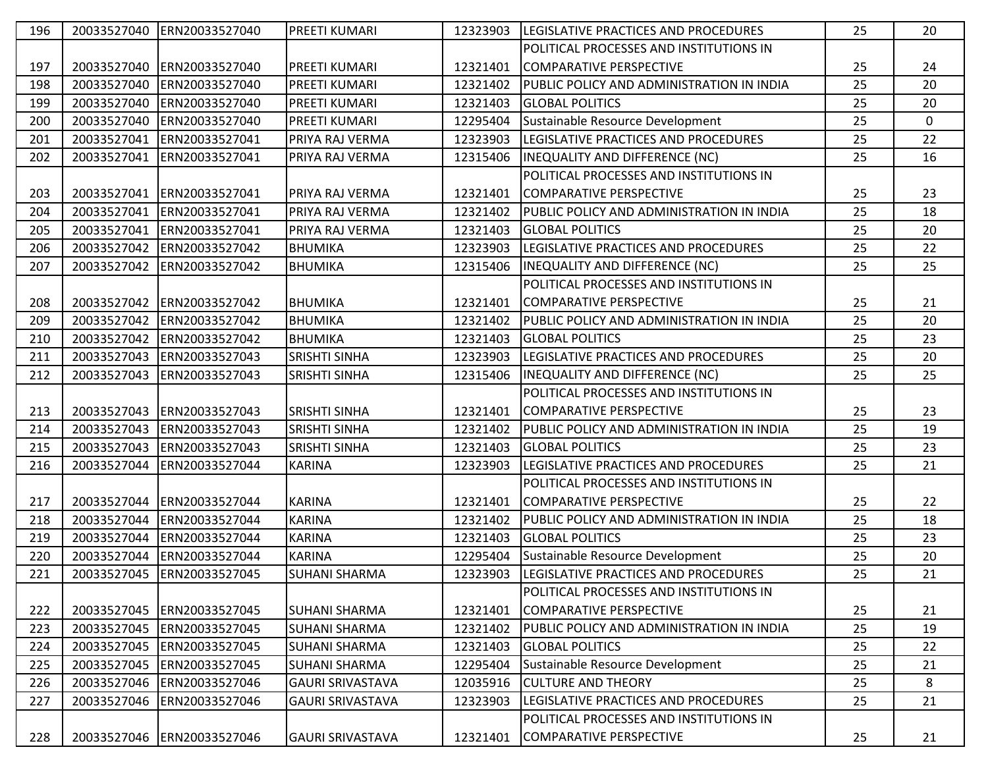| 196 | 20033527040 | ERN20033527040              | <b>PREETI KUMARI</b>    | 12323903 | LEGISLATIVE PRACTICES AND PROCEDURES         | 25 | 20          |
|-----|-------------|-----------------------------|-------------------------|----------|----------------------------------------------|----|-------------|
|     |             |                             |                         |          | POLITICAL PROCESSES AND INSTITUTIONS IN      |    |             |
| 197 | 20033527040 | ERN20033527040              | <b>PREETI KUMARI</b>    | 12321401 | COMPARATIVE PERSPECTIVE                      | 25 | 24          |
| 198 | 20033527040 | ERN20033527040              | <b>PREETI KUMARI</b>    | 12321402 | PUBLIC POLICY AND ADMINISTRATION IN INDIA    | 25 | 20          |
| 199 | 20033527040 | ERN20033527040              | PREETI KUMARI           | 12321403 | <b>GLOBAL POLITICS</b>                       | 25 | 20          |
| 200 | 20033527040 | ERN20033527040              | <b>PREETI KUMARI</b>    | 12295404 | Sustainable Resource Development             | 25 | $\mathbf 0$ |
| 201 | 20033527041 | ERN20033527041              | PRIYA RAJ VERMA         | 12323903 | <b>ILEGISLATIVE PRACTICES AND PROCEDURES</b> | 25 | 22          |
| 202 | 20033527041 | ERN20033527041              | PRIYA RAJ VERMA         | 12315406 | <b>INEQUALITY AND DIFFERENCE (NC)</b>        | 25 | 16          |
|     |             |                             |                         |          | POLITICAL PROCESSES AND INSTITUTIONS IN      |    |             |
| 203 | 20033527041 | ERN20033527041              | PRIYA RAJ VERMA         | 12321401 | COMPARATIVE PERSPECTIVE                      | 25 | 23          |
| 204 | 20033527041 | ERN20033527041              | PRIYA RAJ VERMA         | 12321402 | PUBLIC POLICY AND ADMINISTRATION IN INDIA    | 25 | 18          |
| 205 | 20033527041 | ERN20033527041              | PRIYA RAJ VERMA         | 12321403 | <b>GLOBAL POLITICS</b>                       | 25 | 20          |
| 206 | 20033527042 | ERN20033527042              | <b>BHUMIKA</b>          | 12323903 | LEGISLATIVE PRACTICES AND PROCEDURES         | 25 | 22          |
| 207 | 20033527042 | ERN20033527042              | <b>BHUMIKA</b>          | 12315406 | INEQUALITY AND DIFFERENCE (NC)               | 25 | 25          |
|     |             |                             |                         |          | POLITICAL PROCESSES AND INSTITUTIONS IN      |    |             |
| 208 | 20033527042 | ERN20033527042              | BHUMIKA                 | 12321401 | COMPARATIVE PERSPECTIVE                      | 25 | 21          |
| 209 | 20033527042 | ERN20033527042              | <b>BHUMIKA</b>          | 12321402 | PUBLIC POLICY AND ADMINISTRATION IN INDIA    | 25 | 20          |
| 210 | 20033527042 | ERN20033527042              | <b>BHUMIKA</b>          | 12321403 | <b>GLOBAL POLITICS</b>                       | 25 | 23          |
| 211 | 20033527043 | ERN20033527043              | <b>SRISHTI SINHA</b>    | 12323903 | LEGISLATIVE PRACTICES AND PROCEDURES         | 25 | 20          |
| 212 | 20033527043 | ERN20033527043              | <b>SRISHTI SINHA</b>    | 12315406 | <b>INEQUALITY AND DIFFERENCE (NC)</b>        | 25 | 25          |
|     |             |                             |                         |          | POLITICAL PROCESSES AND INSTITUTIONS IN      |    |             |
| 213 | 20033527043 | ERN20033527043              | <b>SRISHTI SINHA</b>    | 12321401 | COMPARATIVE PERSPECTIVE                      | 25 | 23          |
| 214 | 20033527043 | ERN20033527043              | <b>SRISHTI SINHA</b>    | 12321402 | PUBLIC POLICY AND ADMINISTRATION IN INDIA    | 25 | 19          |
|     |             |                             |                         |          |                                              |    |             |
| 215 | 20033527043 | ERN20033527043              | <b>SRISHTI SINHA</b>    | 12321403 | <b>GLOBAL POLITICS</b>                       | 25 | 23          |
| 216 | 20033527044 | ERN20033527044              | <b>KARINA</b>           | 12323903 | LEGISLATIVE PRACTICES AND PROCEDURES         | 25 | 21          |
|     |             |                             |                         |          | POLITICAL PROCESSES AND INSTITUTIONS IN      |    |             |
| 217 | 20033527044 | ERN20033527044              | <b>KARINA</b>           | 12321401 | COMPARATIVE PERSPECTIVE                      | 25 | 22          |
| 218 | 20033527044 | ERN20033527044              | <b>KARINA</b>           | 12321402 | PUBLIC POLICY AND ADMINISTRATION IN INDIA    | 25 | 18          |
| 219 | 20033527044 | ERN20033527044              | <b>KARINA</b>           | 12321403 | <b>GLOBAL POLITICS</b>                       | 25 | 23          |
| 220 | 20033527044 | ERN20033527044              | <b>KARINA</b>           | 12295404 | Sustainable Resource Development             | 25 | 20          |
| 221 |             | 20033527045  ERN20033527045 | <b>SUHANI SHARMA</b>    | 12323903 | LEGISLATIVE PRACTICES AND PROCEDURES         | 25 | 21          |
|     |             |                             |                         |          | POLITICAL PROCESSES AND INSTITUTIONS IN      |    |             |
| 222 | 20033527045 | ERN20033527045              | SUHANI SHARMA           | 12321401 | COMPARATIVE PERSPECTIVE                      | 25 | 21          |
| 223 | 20033527045 | ERN20033527045              | <b>SUHANI SHARMA</b>    | 12321402 | PUBLIC POLICY AND ADMINISTRATION IN INDIA    | 25 | 19          |
| 224 | 20033527045 | ERN20033527045              | <b>SUHANI SHARMA</b>    | 12321403 | <b>GLOBAL POLITICS</b>                       | 25 | 22          |
| 225 | 20033527045 | ERN20033527045              | <b>SUHANI SHARMA</b>    | 12295404 | Sustainable Resource Development             | 25 | 21          |
| 226 | 20033527046 | ERN20033527046              | <b>GAURI SRIVASTAVA</b> | 12035916 | <b>CULTURE AND THEORY</b>                    | 25 | 8           |
| 227 | 20033527046 | ERN20033527046              | <b>GAURI SRIVASTAVA</b> | 12323903 | LEGISLATIVE PRACTICES AND PROCEDURES         | 25 | 21          |
|     |             |                             |                         |          | POLITICAL PROCESSES AND INSTITUTIONS IN      |    |             |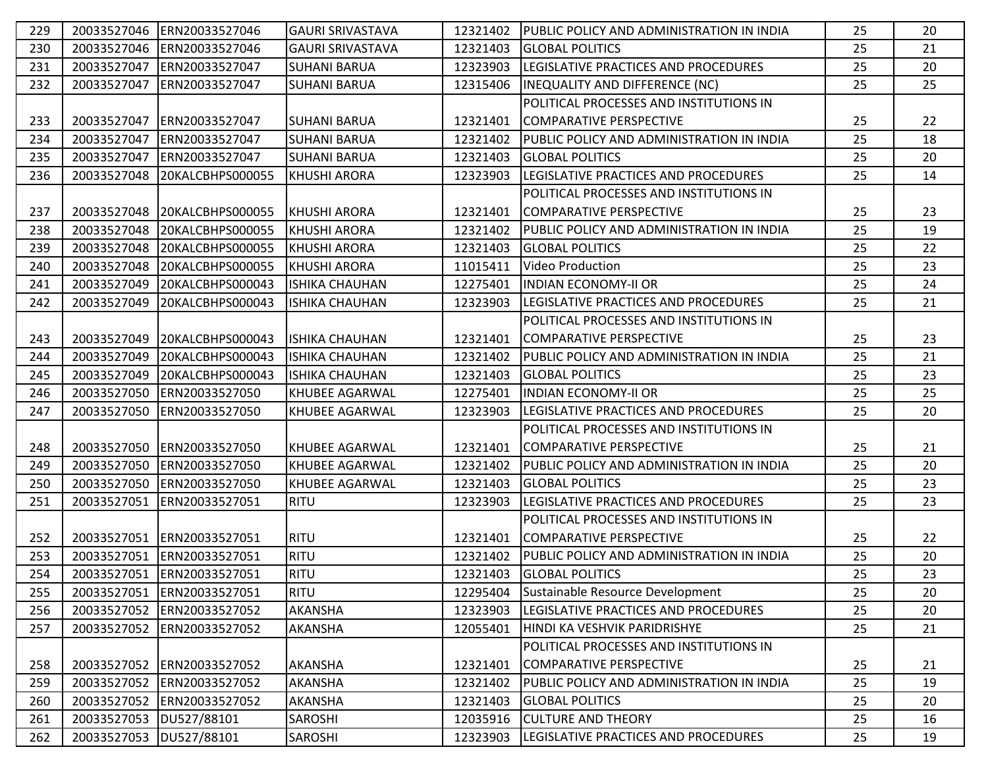| 229 | 20033527046             | ERN20033527046             | <b>GAURI SRIVASTAVA</b> | 12321402 | PUBLIC POLICY AND ADMINISTRATION IN INDIA    | 25 | 20 |
|-----|-------------------------|----------------------------|-------------------------|----------|----------------------------------------------|----|----|
| 230 | 20033527046             | ERN20033527046             | <b>GAURI SRIVASTAVA</b> | 12321403 | <b>GLOBAL POLITICS</b>                       | 25 | 21 |
| 231 | 20033527047             | ERN20033527047             | <b>SUHANI BARUA</b>     | 12323903 | LEGISLATIVE PRACTICES AND PROCEDURES         | 25 | 20 |
| 232 | 20033527047             | ERN20033527047             | <b>SUHANI BARUA</b>     | 12315406 | INEQUALITY AND DIFFERENCE (NC)               | 25 | 25 |
|     |                         |                            |                         |          | POLITICAL PROCESSES AND INSTITUTIONS IN      |    |    |
| 233 | 20033527047             | ERN20033527047             | <b>SUHANI BARUA</b>     | 12321401 | <b>COMPARATIVE PERSPECTIVE</b>               | 25 | 22 |
| 234 | 20033527047             | ERN20033527047             | <b>SUHANI BARUA</b>     | 12321402 | PUBLIC POLICY AND ADMINISTRATION IN INDIA    | 25 | 18 |
| 235 | 20033527047             | ERN20033527047             | <b>SUHANI BARUA</b>     | 12321403 | <b>GLOBAL POLITICS</b>                       | 25 | 20 |
| 236 | 20033527048             | 20KALCBHPS000055           | <b>KHUSHI ARORA</b>     | 12323903 | <b>ILEGISLATIVE PRACTICES AND PROCEDURES</b> | 25 | 14 |
|     |                         |                            |                         |          | POLITICAL PROCESSES AND INSTITUTIONS IN      |    |    |
| 237 | 20033527048             | 20KALCBHPS000055           | KHUSHI ARORA            | 12321401 | COMPARATIVE PERSPECTIVE                      | 25 | 23 |
| 238 | 20033527048             | 20KALCBHPS000055           | <b>KHUSHI ARORA</b>     | 12321402 | PUBLIC POLICY AND ADMINISTRATION IN INDIA    | 25 | 19 |
| 239 | 20033527048             | 20KALCBHPS000055           | <b>KHUSHI ARORA</b>     | 12321403 | <b>GLOBAL POLITICS</b>                       | 25 | 22 |
| 240 | 20033527048             | 20KALCBHPS000055           | <b>KHUSHI ARORA</b>     | 11015411 | <b>Video Production</b>                      | 25 | 23 |
| 241 | 20033527049             | 20KALCBHPS000043           | <b>ISHIKA CHAUHAN</b>   | 12275401 | <b>INDIAN ECONOMY-II OR</b>                  | 25 | 24 |
| 242 | 20033527049             | 20KALCBHPS000043           | <b>ISHIKA CHAUHAN</b>   | 12323903 | LEGISLATIVE PRACTICES AND PROCEDURES         | 25 | 21 |
|     |                         |                            |                         |          | POLITICAL PROCESSES AND INSTITUTIONS IN      |    |    |
| 243 | 20033527049             | 20KALCBHPS000043           | <b>ISHIKA CHAUHAN</b>   | 12321401 | COMPARATIVE PERSPECTIVE                      | 25 | 23 |
| 244 | 20033527049             | 20KALCBHPS000043           | <b>ISHIKA CHAUHAN</b>   | 12321402 | PUBLIC POLICY AND ADMINISTRATION IN INDIA    | 25 | 21 |
| 245 | 20033527049             | 20KALCBHPS000043           | <b>ISHIKA CHAUHAN</b>   | 12321403 | <b>GLOBAL POLITICS</b>                       | 25 | 23 |
| 246 | 20033527050             | ERN20033527050             | KHUBEE AGARWAL          | 12275401 | <b>INDIAN ECONOMY-II OR</b>                  | 25 | 25 |
| 247 | 20033527050             | ERN20033527050             | KHUBEE AGARWAL          | 12323903 | LEGISLATIVE PRACTICES AND PROCEDURES         | 25 | 20 |
|     |                         |                            |                         |          | POLITICAL PROCESSES AND INSTITUTIONS IN      |    |    |
| 248 | 20033527050             | ERN20033527050             | <b>KHUBEE AGARWAL</b>   | 12321401 | <b>COMPARATIVE PERSPECTIVE</b>               | 25 | 21 |
| 249 | 20033527050             | ERN20033527050             | <b>KHUBEE AGARWAL</b>   | 12321402 | PUBLIC POLICY AND ADMINISTRATION IN INDIA    | 25 | 20 |
| 250 | 20033527050             | ERN20033527050             | <b>KHUBEE AGARWAL</b>   | 12321403 | <b>GLOBAL POLITICS</b>                       | 25 | 23 |
| 251 | 20033527051             | ERN20033527051             | <b>RITU</b>             | 12323903 | LEGISLATIVE PRACTICES AND PROCEDURES         | 25 | 23 |
|     |                         |                            |                         |          | POLITICAL PROCESSES AND INSTITUTIONS IN      |    |    |
| 252 |                         | 20033527051 ERN20033527051 | <b>RITU</b>             | 12321401 | COMPARATIVE PERSPECTIVE                      | 25 | 22 |
| 253 |                         | 20033527051 ERN20033527051 | <b>RITU</b>             | 12321402 | PUBLIC POLICY AND ADMINISTRATION IN INDIA    | 25 | 20 |
| 254 |                         | 20033527051 ERN20033527051 | <b>RITU</b>             | 12321403 | <b>GLOBAL POLITICS</b>                       | 25 | 23 |
| 255 | 20033527051             | ERN20033527051             | <b>RITU</b>             | 12295404 | Sustainable Resource Development             | 25 | 20 |
| 256 | 20033527052             | ERN20033527052             | <b>AKANSHA</b>          | 12323903 | LEGISLATIVE PRACTICES AND PROCEDURES         | 25 | 20 |
| 257 |                         | 20033527052 ERN20033527052 | <b>AKANSHA</b>          | 12055401 | HINDI KA VESHVIK PARIDRISHYE                 | 25 | 21 |
|     |                         |                            |                         |          | POLITICAL PROCESSES AND INSTITUTIONS IN      |    |    |
| 258 |                         | 20033527052 ERN20033527052 | <b>AKANSHA</b>          | 12321401 | COMPARATIVE PERSPECTIVE                      | 25 | 21 |
| 259 |                         | 20033527052 ERN20033527052 | <b>AKANSHA</b>          | 12321402 | PUBLIC POLICY AND ADMINISTRATION IN INDIA    | 25 | 19 |
| 260 |                         | 20033527052 ERN20033527052 | AKANSHA                 | 12321403 | <b>GLOBAL POLITICS</b>                       | 25 | 20 |
| 261 | 20033527053 DU527/88101 |                            | SAROSHI                 | 12035916 | <b>CULTURE AND THEORY</b>                    | 25 | 16 |
| 262 | 20033527053 DU527/88101 |                            | SAROSHI                 | 12323903 | LEGISLATIVE PRACTICES AND PROCEDURES         | 25 | 19 |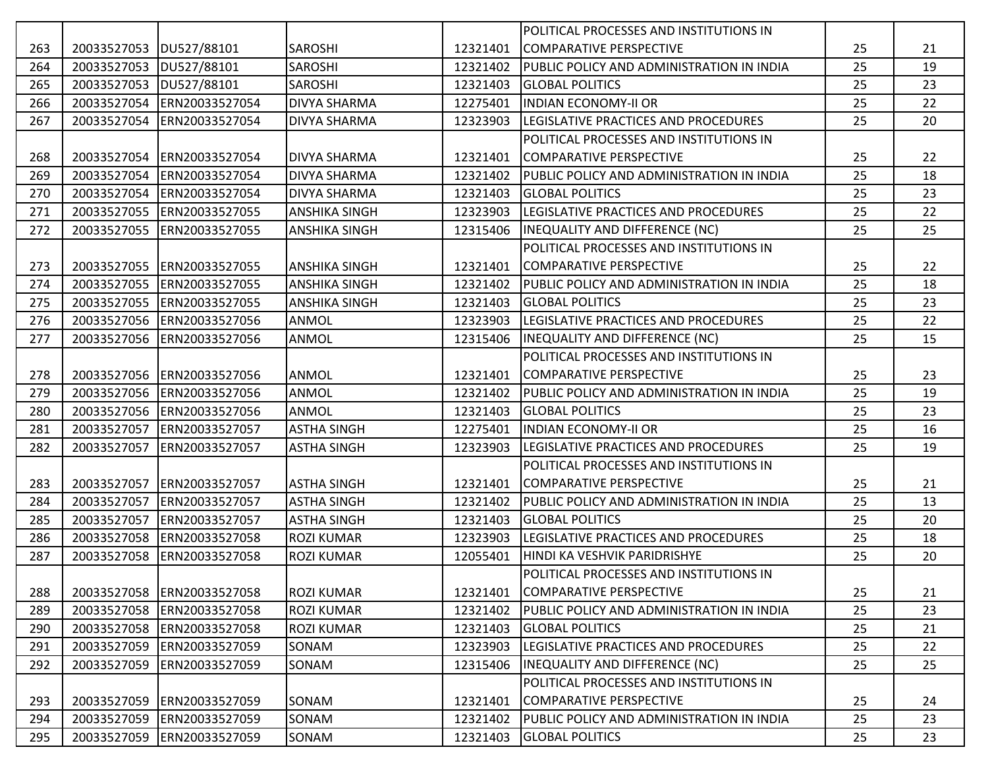|     |                         |                |                      |          | POLITICAL PROCESSES AND INSTITUTIONS IN   |    |    |
|-----|-------------------------|----------------|----------------------|----------|-------------------------------------------|----|----|
| 263 | 20033527053 DU527/88101 |                | <b>SAROSHI</b>       | 12321401 | COMPARATIVE PERSPECTIVE                   | 25 | 21 |
| 264 | 20033527053             | DU527/88101    | <b>SAROSHI</b>       | 12321402 | PUBLIC POLICY AND ADMINISTRATION IN INDIA | 25 | 19 |
| 265 | 20033527053 DU527/88101 |                | <b>SAROSHI</b>       | 12321403 | <b>GLOBAL POLITICS</b>                    | 25 | 23 |
| 266 | 20033527054             | ERN20033527054 | <b>DIVYA SHARMA</b>  | 12275401 | <b>INDIAN ECONOMY-II OR</b>               | 25 | 22 |
| 267 | 20033527054             | ERN20033527054 | <b>DIVYA SHARMA</b>  | 12323903 | LEGISLATIVE PRACTICES AND PROCEDURES      | 25 | 20 |
|     |                         |                |                      |          | POLITICAL PROCESSES AND INSTITUTIONS IN   |    |    |
| 268 | 20033527054             | ERN20033527054 | <b>DIVYA SHARMA</b>  | 12321401 | COMPARATIVE PERSPECTIVE                   | 25 | 22 |
| 269 | 20033527054             | ERN20033527054 | <b>DIVYA SHARMA</b>  | 12321402 | PUBLIC POLICY AND ADMINISTRATION IN INDIA | 25 | 18 |
| 270 | 20033527054             | ERN20033527054 | <b>DIVYA SHARMA</b>  | 12321403 | <b>GLOBAL POLITICS</b>                    | 25 | 23 |
| 271 | 20033527055             | ERN20033527055 | <b>ANSHIKA SINGH</b> | 12323903 | LEGISLATIVE PRACTICES AND PROCEDURES      | 25 | 22 |
| 272 | 20033527055             | ERN20033527055 | <b>ANSHIKA SINGH</b> | 12315406 | INEQUALITY AND DIFFERENCE (NC)            | 25 | 25 |
|     |                         |                |                      |          | POLITICAL PROCESSES AND INSTITUTIONS IN   |    |    |
| 273 | 20033527055             | ERN20033527055 | <b>ANSHIKA SINGH</b> | 12321401 | COMPARATIVE PERSPECTIVE                   | 25 | 22 |
| 274 | 20033527055             | ERN20033527055 | <b>ANSHIKA SINGH</b> | 12321402 | PUBLIC POLICY AND ADMINISTRATION IN INDIA | 25 | 18 |
| 275 | 20033527055             | ERN20033527055 | <b>ANSHIKA SINGH</b> | 12321403 | <b>GLOBAL POLITICS</b>                    | 25 | 23 |
| 276 | 20033527056             | ERN20033527056 | <b>ANMOL</b>         | 12323903 | LEGISLATIVE PRACTICES AND PROCEDURES      | 25 | 22 |
| 277 | 20033527056             | ERN20033527056 | ANMOL                | 12315406 | <b>INEQUALITY AND DIFFERENCE (NC)</b>     | 25 | 15 |
|     |                         |                |                      |          | POLITICAL PROCESSES AND INSTITUTIONS IN   |    |    |
| 278 | 20033527056             | ERN20033527056 | <b>ANMOL</b>         | 12321401 | <b>COMPARATIVE PERSPECTIVE</b>            | 25 | 23 |
| 279 | 20033527056             | ERN20033527056 | <b>ANMOL</b>         | 12321402 | PUBLIC POLICY AND ADMINISTRATION IN INDIA | 25 | 19 |
| 280 | 20033527056             | ERN20033527056 | <b>ANMOL</b>         | 12321403 | <b>GLOBAL POLITICS</b>                    | 25 | 23 |
| 281 | 20033527057             | ERN20033527057 | <b>ASTHA SINGH</b>   | 12275401 | <b>INDIAN ECONOMY-II OR</b>               | 25 | 16 |
| 282 | 20033527057             | ERN20033527057 | <b>ASTHA SINGH</b>   | 12323903 | LEGISLATIVE PRACTICES AND PROCEDURES      | 25 | 19 |
|     |                         |                |                      |          | POLITICAL PROCESSES AND INSTITUTIONS IN   |    |    |
| 283 | 20033527057             | ERN20033527057 | <b>ASTHA SINGH</b>   | 12321401 | COMPARATIVE PERSPECTIVE                   | 25 | 21 |
| 284 | 20033527057             | ERN20033527057 | <b>ASTHA SINGH</b>   | 12321402 | PUBLIC POLICY AND ADMINISTRATION IN INDIA | 25 | 13 |
| 285 | 20033527057             | ERN20033527057 | <b>ASTHA SINGH</b>   | 12321403 | <b>GLOBAL POLITICS</b>                    | 25 | 20 |
| 286 | 20033527058             | ERN20033527058 | <b>ROZI KUMAR</b>    | 12323903 | LEGISLATIVE PRACTICES AND PROCEDURES      | 25 | 18 |
| 287 | 20033527058             | ERN20033527058 | <b>ROZI KUMAR</b>    | 12055401 | HINDI KA VESHVIK PARIDRISHYE              | 25 | 20 |
|     |                         |                |                      |          | POLITICAL PROCESSES AND INSTITUTIONS IN   |    |    |
| 288 | 20033527058             | ERN20033527058 | <b>ROZI KUMAR</b>    | 12321401 | COMPARATIVE PERSPECTIVE                   | 25 | 21 |
| 289 | 20033527058             | ERN20033527058 | <b>ROZI KUMAR</b>    | 12321402 | PUBLIC POLICY AND ADMINISTRATION IN INDIA | 25 | 23 |
| 290 | 20033527058             | ERN20033527058 | <b>ROZI KUMAR</b>    | 12321403 | <b>GLOBAL POLITICS</b>                    | 25 | 21 |
| 291 | 20033527059             | ERN20033527059 | SONAM                | 12323903 | LEGISLATIVE PRACTICES AND PROCEDURES      | 25 | 22 |
| 292 | 20033527059             | ERN20033527059 | SONAM                | 12315406 | INEQUALITY AND DIFFERENCE (NC)            | 25 | 25 |
|     |                         |                |                      |          | POLITICAL PROCESSES AND INSTITUTIONS IN   |    |    |
| 293 | 20033527059             | ERN20033527059 | SONAM                | 12321401 | COMPARATIVE PERSPECTIVE                   | 25 | 24 |
| 294 | 20033527059             | ERN20033527059 | SONAM                | 12321402 | PUBLIC POLICY AND ADMINISTRATION IN INDIA | 25 | 23 |
| 295 | 20033527059             | ERN20033527059 | SONAM                | 12321403 | <b>GLOBAL POLITICS</b>                    | 25 | 23 |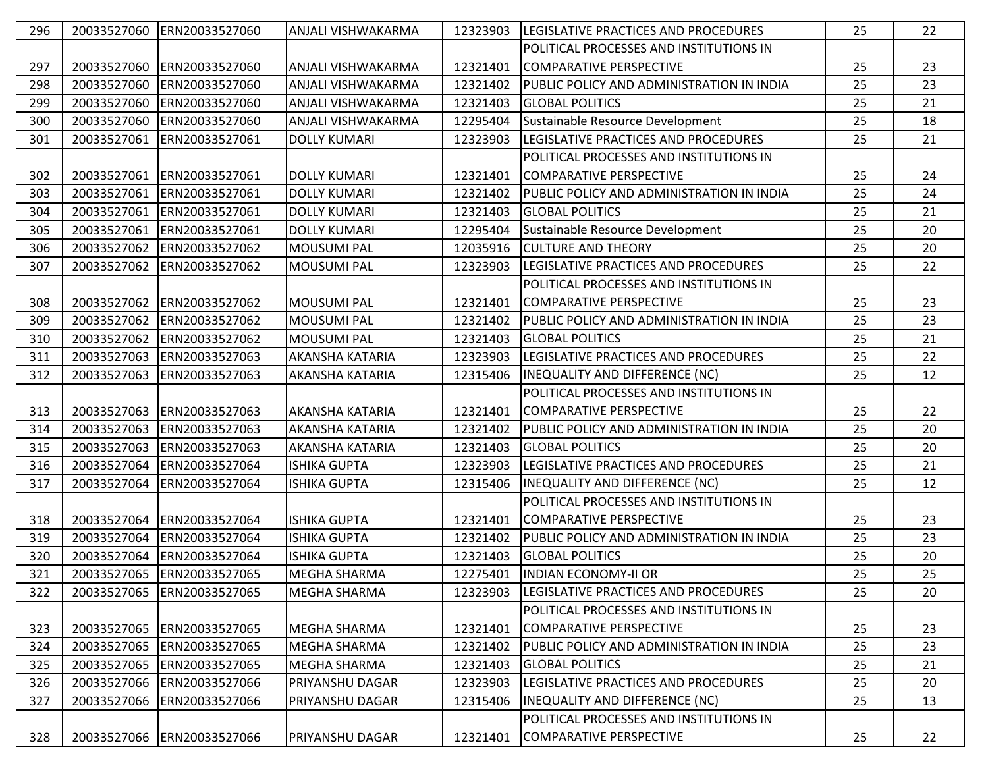| 296 |             | 20033527060 ERN20033527060  | ANJALI VISHWAKARMA        | 12323903 | LEGISLATIVE PRACTICES AND PROCEDURES           | 25 | 22 |
|-----|-------------|-----------------------------|---------------------------|----------|------------------------------------------------|----|----|
|     |             |                             |                           |          | POLITICAL PROCESSES AND INSTITUTIONS IN        |    |    |
| 297 | 20033527060 | ERN20033527060              | ANJALI VISHWAKARMA        | 12321401 | COMPARATIVE PERSPECTIVE                        | 25 | 23 |
| 298 | 20033527060 | ERN20033527060              | <b>ANJALI VISHWAKARMA</b> | 12321402 | PUBLIC POLICY AND ADMINISTRATION IN INDIA      | 25 | 23 |
| 299 | 20033527060 | ERN20033527060              | <b>ANJALI VISHWAKARMA</b> | 12321403 | <b>GLOBAL POLITICS</b>                         | 25 | 21 |
| 300 | 20033527060 | ERN20033527060              | <b>ANJALI VISHWAKARMA</b> | 12295404 | Sustainable Resource Development               | 25 | 18 |
| 301 | 20033527061 | ERN20033527061              | <b>DOLLY KUMARI</b>       | 12323903 | LEGISLATIVE PRACTICES AND PROCEDURES           | 25 | 21 |
|     |             |                             |                           |          | POLITICAL PROCESSES AND INSTITUTIONS IN        |    |    |
| 302 | 20033527061 | ERN20033527061              | <b>DOLLY KUMARI</b>       | 12321401 | COMPARATIVE PERSPECTIVE                        | 25 | 24 |
| 303 | 20033527061 | ERN20033527061              | <b>DOLLY KUMARI</b>       | 12321402 | PUBLIC POLICY AND ADMINISTRATION IN INDIA      | 25 | 24 |
| 304 | 20033527061 | ERN20033527061              | <b>DOLLY KUMARI</b>       | 12321403 | <b>GLOBAL POLITICS</b>                         | 25 | 21 |
| 305 | 20033527061 | ERN20033527061              | <b>DOLLY KUMARI</b>       | 12295404 | Sustainable Resource Development               | 25 | 20 |
| 306 | 20033527062 | ERN20033527062              | <b>MOUSUMI PAL</b>        | 12035916 | <b>CULTURE AND THEORY</b>                      | 25 | 20 |
| 307 | 20033527062 | ERN20033527062              | <b>MOUSUMI PAL</b>        | 12323903 | LEGISLATIVE PRACTICES AND PROCEDURES           | 25 | 22 |
|     |             |                             |                           |          | POLITICAL PROCESSES AND INSTITUTIONS IN        |    |    |
| 308 | 20033527062 | ERN20033527062              | <b>MOUSUMI PAL</b>        | 12321401 | COMPARATIVE PERSPECTIVE                        | 25 | 23 |
| 309 | 20033527062 | ERN20033527062              | <b>MOUSUMI PAL</b>        | 12321402 | PUBLIC POLICY AND ADMINISTRATION IN INDIA      | 25 | 23 |
| 310 | 20033527062 | ERN20033527062              | <b>MOUSUMI PAL</b>        | 12321403 | <b>GLOBAL POLITICS</b>                         | 25 | 21 |
| 311 | 20033527063 | ERN20033527063              | <b>AKANSHA KATARIA</b>    | 12323903 | LEGISLATIVE PRACTICES AND PROCEDURES           | 25 | 22 |
| 312 | 20033527063 | ERN20033527063              | <b>AKANSHA KATARIA</b>    | 12315406 | <b>INEQUALITY AND DIFFERENCE (NC)</b>          | 25 | 12 |
|     |             |                             |                           |          | POLITICAL PROCESSES AND INSTITUTIONS IN        |    |    |
| 313 | 20033527063 | ERN20033527063              | <b>AKANSHA KATARIA</b>    | 12321401 | COMPARATIVE PERSPECTIVE                        | 25 | 22 |
| 314 | 20033527063 | ERN20033527063              | <b>AKANSHA KATARIA</b>    | 12321402 | PUBLIC POLICY AND ADMINISTRATION IN INDIA      | 25 | 20 |
| 315 | 20033527063 | ERN20033527063              | <b>AKANSHA KATARIA</b>    | 12321403 | <b>GLOBAL POLITICS</b>                         | 25 | 20 |
| 316 | 20033527064 | ERN20033527064              | <b>ISHIKA GUPTA</b>       | 12323903 | LEGISLATIVE PRACTICES AND PROCEDURES           | 25 | 21 |
| 317 | 20033527064 | ERN20033527064              | <b>ISHIKA GUPTA</b>       | 12315406 | INEQUALITY AND DIFFERENCE (NC)                 | 25 | 12 |
|     |             |                             |                           |          | POLITICAL PROCESSES AND INSTITUTIONS IN        |    |    |
| 318 |             | 20033527064 ERN20033527064  | <b>ISHIKA GUPTA</b>       | 12321401 | COMPARATIVE PERSPECTIVE                        | 25 | 23 |
| 319 | 20033527064 | ERN20033527064              | <b>ISHIKA GUPTA</b>       | 12321402 | PUBLIC POLICY AND ADMINISTRATION IN INDIA      | 25 | 23 |
| 320 | 20033527064 | ERN20033527064              | <b>ISHIKA GUPTA</b>       | 12321403 | <b>GLOBAL POLITICS</b>                         | 25 | 20 |
| 321 |             | 20033527065  ERN20033527065 | <b>MEGHA SHARMA</b>       | 12275401 | <b>INDIAN ECONOMY-II OR</b>                    | 25 | 25 |
| 322 |             | 20033527065 ERN20033527065  | <b>MEGHA SHARMA</b>       | 12323903 | <b>ILEGISLATIVE PRACTICES AND PROCEDURES</b>   | 25 | 20 |
|     |             |                             |                           |          | POLITICAL PROCESSES AND INSTITUTIONS IN        |    |    |
| 323 | 20033527065 | ERN20033527065              | MEGHA SHARMA              | 12321401 | COMPARATIVE PERSPECTIVE                        | 25 | 23 |
| 324 |             | 20033527065 ERN20033527065  | <b>MEGHA SHARMA</b>       | 12321402 | PUBLIC POLICY AND ADMINISTRATION IN INDIA      | 25 | 23 |
| 325 |             | 20033527065 ERN20033527065  | <b>MEGHA SHARMA</b>       | 12321403 | <b>GLOBAL POLITICS</b>                         | 25 | 21 |
| 326 |             | 20033527066 ERN20033527066  | PRIYANSHU DAGAR           | 12323903 | LEGISLATIVE PRACTICES AND PROCEDURES           | 25 | 20 |
| 327 | 20033527066 | ERN20033527066              | <b>PRIYANSHU DAGAR</b>    | 12315406 | IINEQUALITY AND DIFFERENCE (NC)                | 25 | 13 |
|     |             |                             |                           |          | <b>POLITICAL PROCESSES AND INSTITUTIONS IN</b> |    |    |
| 328 |             | 20033527066 ERN20033527066  | PRIYANSHU DAGAR           | 12321401 | COMPARATIVE PERSPECTIVE                        | 25 | 22 |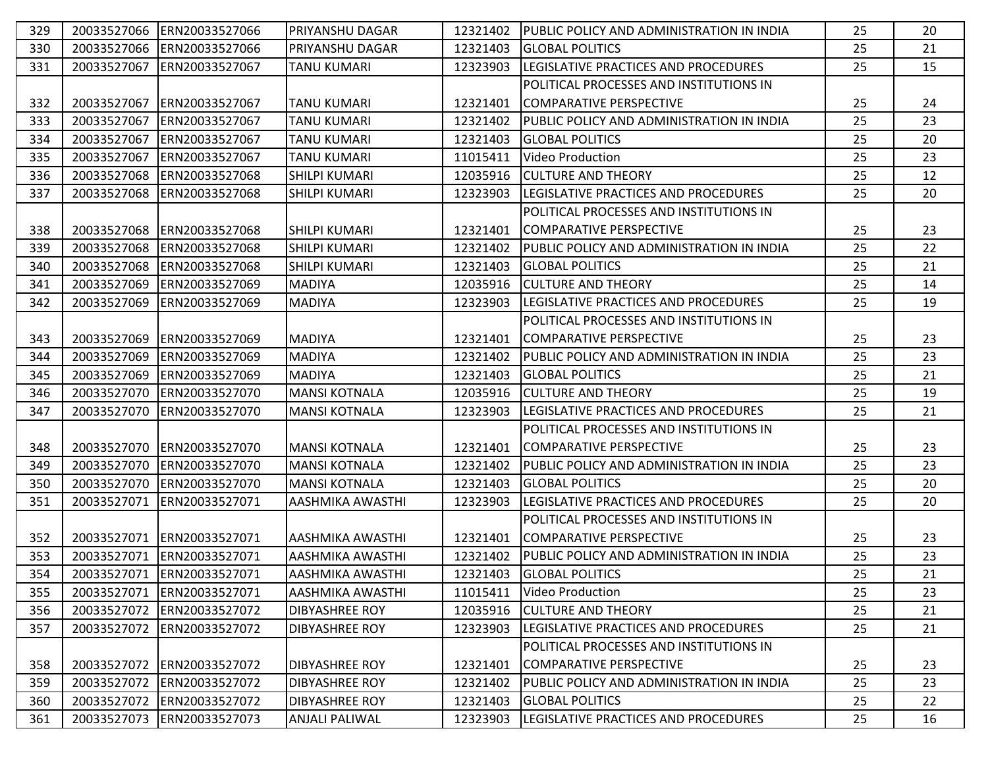| 329 | 20033527066 | ERN20033527066             | IPRIYANSHU DAGAR        | 12321402 | <b>IPUBLIC POLICY AND ADMINISTRATION IN INDIA</b> | 25 | 20 |
|-----|-------------|----------------------------|-------------------------|----------|---------------------------------------------------|----|----|
| 330 | 20033527066 | ERN20033527066             | <b>PRIYANSHU DAGAR</b>  | 12321403 | <b>GLOBAL POLITICS</b>                            | 25 | 21 |
| 331 | 20033527067 | ERN20033527067             | TANU KUMARI             | 12323903 | LEGISLATIVE PRACTICES AND PROCEDURES              | 25 | 15 |
|     |             |                            |                         |          | POLITICAL PROCESSES AND INSTITUTIONS IN           |    |    |
| 332 |             | 20033527067 ERN20033527067 | ITANU KUMARI            | 12321401 | COMPARATIVE PERSPECTIVE                           | 25 | 24 |
| 333 | 20033527067 | IERN20033527067            | <b>TANU KUMARI</b>      | 12321402 | PUBLIC POLICY AND ADMINISTRATION IN INDIA         | 25 | 23 |
| 334 | 20033527067 | ERN20033527067             | <b>TANU KUMARI</b>      | 12321403 | <b>GLOBAL POLITICS</b>                            | 25 | 20 |
| 335 | 20033527067 | ERN20033527067             | <b>TANU KUMARI</b>      | 11015411 | Video Production                                  | 25 | 23 |
| 336 | 20033527068 | ERN20033527068             | <b>SHILPI KUMARI</b>    | 12035916 | <b>CULTURE AND THEORY</b>                         | 25 | 12 |
| 337 | 20033527068 | ERN20033527068             | SHILPI KUMARI           | 12323903 | <b>ILEGISLATIVE PRACTICES AND PROCEDURES</b>      | 25 | 20 |
|     |             |                            |                         |          | POLITICAL PROCESSES AND INSTITUTIONS IN           |    |    |
| 338 | 20033527068 | ERN20033527068             | <b>SHILPI KUMARI</b>    | 12321401 | COMPARATIVE PERSPECTIVE                           | 25 | 23 |
| 339 | 20033527068 | ERN20033527068             | <b>SHILPI KUMARI</b>    | 12321402 | PUBLIC POLICY AND ADMINISTRATION IN INDIA         | 25 | 22 |
| 340 | 20033527068 | ERN20033527068             | <b>SHILPI KUMARI</b>    | 12321403 | <b>GLOBAL POLITICS</b>                            | 25 | 21 |
| 341 | 20033527069 | ERN20033527069             | <b>MADIYA</b>           | 12035916 | <b>CULTURE AND THEORY</b>                         | 25 | 14 |
| 342 | 20033527069 | ERN20033527069             | <b>MADIYA</b>           | 12323903 | LEGISLATIVE PRACTICES AND PROCEDURES              | 25 | 19 |
|     |             |                            |                         |          | POLITICAL PROCESSES AND INSTITUTIONS IN           |    |    |
| 343 | 20033527069 | ERN20033527069             | <b>MADIYA</b>           | 12321401 | COMPARATIVE PERSPECTIVE                           | 25 | 23 |
| 344 | 20033527069 | ERN20033527069             | <b>MADIYA</b>           | 12321402 | PUBLIC POLICY AND ADMINISTRATION IN INDIA         | 25 | 23 |
| 345 | 20033527069 | ERN20033527069             | <b>MADIYA</b>           | 12321403 | <b>GLOBAL POLITICS</b>                            | 25 | 21 |
| 346 | 20033527070 | ERN20033527070             | <b>MANSI KOTNALA</b>    | 12035916 | <b>CULTURE AND THEORY</b>                         | 25 | 19 |
| 347 | 20033527070 | ERN20033527070             | <b>MANSI KOTNALA</b>    | 12323903 | LEGISLATIVE PRACTICES AND PROCEDURES              | 25 | 21 |
|     |             |                            |                         |          | POLITICAL PROCESSES AND INSTITUTIONS IN           |    |    |
| 348 |             | 20033527070 ERN20033527070 | <b>MANSI KOTNALA</b>    | 12321401 | COMPARATIVE PERSPECTIVE                           | 25 | 23 |
| 349 | 20033527070 | ERN20033527070             | <b>MANSI KOTNALA</b>    | 12321402 | PUBLIC POLICY AND ADMINISTRATION IN INDIA         | 25 | 23 |
| 350 | 20033527070 | ERN20033527070             | <b>MANSI KOTNALA</b>    | 12321403 | <b>GLOBAL POLITICS</b>                            | 25 | 20 |
| 351 | 20033527071 | ERN20033527071             | AASHMIKA AWASTHI        | 12323903 | LEGISLATIVE PRACTICES AND PROCEDURES              | 25 | 20 |
|     |             |                            |                         |          | POLITICAL PROCESSES AND INSTITUTIONS IN           |    |    |
| 352 |             | 20033527071 ERN20033527071 | AASHMIKA AWASTHI        | 12321401 | COMPARATIVE PERSPECTIVE                           | 25 | 23 |
| 353 |             | 20033527071 ERN20033527071 | <b>AASHMIKA AWASTHI</b> | 12321402 | PUBLIC POLICY AND ADMINISTRATION IN INDIA         | 25 | 23 |
| 354 |             | 20033527071 ERN20033527071 | <b>AASHMIKA AWASTHI</b> | 12321403 | <b>IGLOBAL POLITICS</b>                           | 25 | 21 |
| 355 | 20033527071 | ERN20033527071             | <b>AASHMIKA AWASTHI</b> | 11015411 | Video Production                                  | 25 | 23 |
| 356 | 20033527072 | ERN20033527072             | <b>DIBYASHREE ROY</b>   | 12035916 | <b>CULTURE AND THEORY</b>                         | 25 | 21 |
| 357 | 20033527072 | ERN20033527072             | <b>DIBYASHREE ROY</b>   | 12323903 | LEGISLATIVE PRACTICES AND PROCEDURES              | 25 | 21 |
|     |             |                            |                         |          | POLITICAL PROCESSES AND INSTITUTIONS IN           |    |    |
| 358 |             | 20033527072 ERN20033527072 | <b>DIBYASHREE ROY</b>   | 12321401 | COMPARATIVE PERSPECTIVE                           | 25 | 23 |
| 359 |             | 20033527072 ERN20033527072 | <b>DIBYASHREE ROY</b>   | 12321402 | PUBLIC POLICY AND ADMINISTRATION IN INDIA         | 25 | 23 |
| 360 | 20033527072 | ERN20033527072             | <b>DIBYASHREE ROY</b>   | 12321403 | <b>GLOBAL POLITICS</b>                            | 25 | 22 |
| 361 |             | 20033527073 ERN20033527073 | <b>ANJALI PALIWAL</b>   | 12323903 | <b>LEGISLATIVE PRACTICES AND PROCEDURES</b>       | 25 | 16 |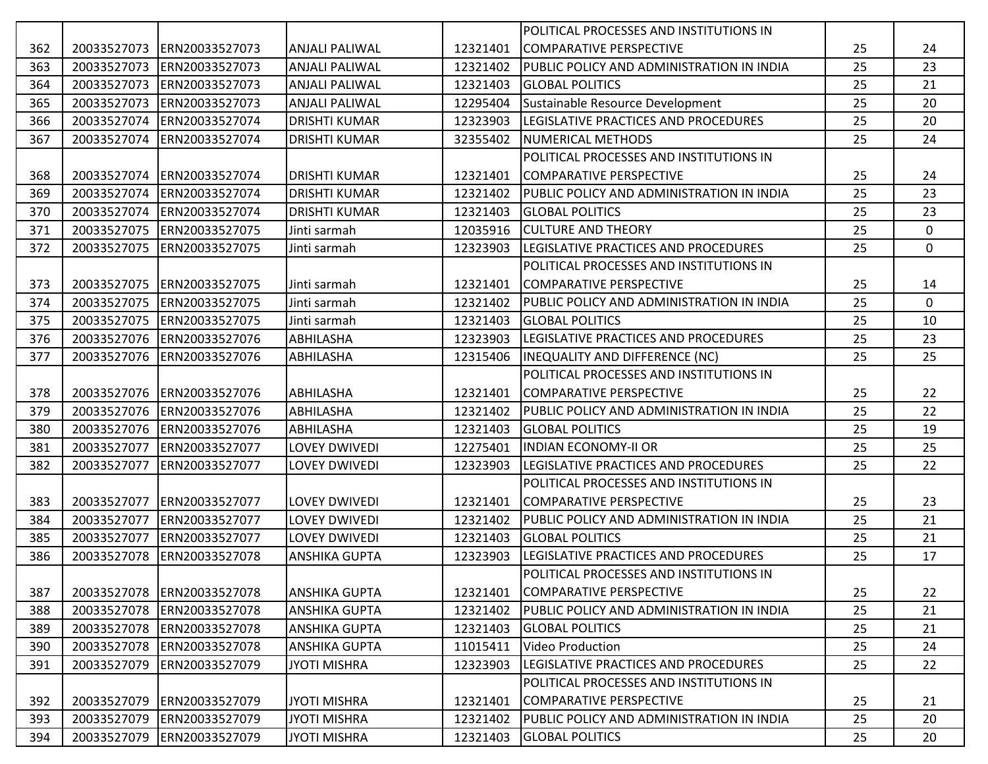|     |             |                            |                       |          | POLITICAL PROCESSES AND INSTITUTIONS IN   |    |             |
|-----|-------------|----------------------------|-----------------------|----------|-------------------------------------------|----|-------------|
| 362 | 20033527073 | ERN20033527073             | ANJALI PALIWAL        | 12321401 | COMPARATIVE PERSPECTIVE                   | 25 | 24          |
| 363 | 20033527073 | ERN20033527073             | <b>ANJALI PALIWAL</b> | 12321402 | PUBLIC POLICY AND ADMINISTRATION IN INDIA | 25 | 23          |
| 364 | 20033527073 | ERN20033527073             | <b>ANJALI PALIWAL</b> | 12321403 | <b>GLOBAL POLITICS</b>                    | 25 | 21          |
| 365 | 20033527073 | ERN20033527073             | <b>ANJALI PALIWAL</b> | 12295404 | Sustainable Resource Development          | 25 | 20          |
| 366 | 20033527074 | ERN20033527074             | <b>DRISHTI KUMAR</b>  | 12323903 | LEGISLATIVE PRACTICES AND PROCEDURES      | 25 | 20          |
| 367 | 20033527074 | ERN20033527074             | <b>DRISHTI KUMAR</b>  | 32355402 | <b>NUMERICAL METHODS</b>                  | 25 | 24          |
|     |             |                            |                       |          | POLITICAL PROCESSES AND INSTITUTIONS IN   |    |             |
| 368 | 20033527074 | ERN20033527074             | <b>DRISHTI KUMAR</b>  | 12321401 | COMPARATIVE PERSPECTIVE                   | 25 | 24          |
| 369 | 20033527074 | ERN20033527074             | <b>DRISHTI KUMAR</b>  | 12321402 | PUBLIC POLICY AND ADMINISTRATION IN INDIA | 25 | 23          |
| 370 | 20033527074 | ERN20033527074             | <b>DRISHTI KUMAR</b>  | 12321403 | <b>GLOBAL POLITICS</b>                    | 25 | 23          |
| 371 | 20033527075 | ERN20033527075             | Jinti sarmah          | 12035916 | <b>CULTURE AND THEORY</b>                 | 25 | $\mathbf 0$ |
| 372 | 20033527075 | ERN20033527075             | Jinti sarmah          | 12323903 | LEGISLATIVE PRACTICES AND PROCEDURES      | 25 | $\mathbf 0$ |
|     |             |                            |                       |          | POLITICAL PROCESSES AND INSTITUTIONS IN   |    |             |
| 373 | 20033527075 | ERN20033527075             | Jinti sarmah          | 12321401 | COMPARATIVE PERSPECTIVE                   | 25 | 14          |
| 374 | 20033527075 | ERN20033527075             | Jinti sarmah          | 12321402 | PUBLIC POLICY AND ADMINISTRATION IN INDIA | 25 | 0           |
| 375 | 20033527075 | ERN20033527075             | Jinti sarmah          | 12321403 | <b>GLOBAL POLITICS</b>                    | 25 | 10          |
| 376 | 20033527076 | ERN20033527076             | <b>ABHILASHA</b>      | 12323903 | LEGISLATIVE PRACTICES AND PROCEDURES      | 25 | 23          |
| 377 | 20033527076 | ERN20033527076             | ABHILASHA             | 12315406 | <b>INEQUALITY AND DIFFERENCE (NC)</b>     | 25 | 25          |
|     |             |                            |                       |          | POLITICAL PROCESSES AND INSTITUTIONS IN   |    |             |
| 378 | 20033527076 | ERN20033527076             | <b>ABHILASHA</b>      | 12321401 | COMPARATIVE PERSPECTIVE                   | 25 | 22          |
| 379 | 20033527076 | ERN20033527076             | <b>ABHILASHA</b>      | 12321402 | PUBLIC POLICY AND ADMINISTRATION IN INDIA | 25 | 22          |
| 380 | 20033527076 | ERN20033527076             | <b>ABHILASHA</b>      | 12321403 | <b>GLOBAL POLITICS</b>                    | 25 | 19          |
| 381 | 20033527077 | ERN20033527077             | <b>LOVEY DWIVEDI</b>  | 12275401 | <b>INDIAN ECONOMY-II OR</b>               | 25 | 25          |
| 382 | 20033527077 | ERN20033527077             | <b>LOVEY DWIVEDI</b>  | 12323903 | LEGISLATIVE PRACTICES AND PROCEDURES      | 25 | 22          |
|     |             |                            |                       |          | POLITICAL PROCESSES AND INSTITUTIONS IN   |    |             |
| 383 | 20033527077 | ERN20033527077             | <b>LOVEY DWIVEDI</b>  | 12321401 | COMPARATIVE PERSPECTIVE                   | 25 | 23          |
| 384 | 20033527077 | ERN20033527077             | <b>LOVEY DWIVEDI</b>  | 12321402 | PUBLIC POLICY AND ADMINISTRATION IN INDIA | 25 | 21          |
| 385 | 20033527077 | ERN20033527077             | <b>LOVEY DWIVEDI</b>  | 12321403 | <b>GLOBAL POLITICS</b>                    | 25 | 21          |
| 386 | 20033527078 | ERN20033527078             | <b>ANSHIKA GUPTA</b>  | 12323903 | LEGISLATIVE PRACTICES AND PROCEDURES      | 25 | 17          |
|     |             |                            |                       |          | POLITICAL PROCESSES AND INSTITUTIONS IN   |    |             |
| 387 |             | 20033527078 ERN20033527078 | ANSHIKA GUPTA         | 12321401 | COMPARATIVE PERSPECTIVE                   | 25 | 22          |
| 388 | 20033527078 | ERN20033527078             | <b>ANSHIKA GUPTA</b>  | 12321402 | PUBLIC POLICY AND ADMINISTRATION IN INDIA | 25 | 21          |
| 389 | 20033527078 | ERN20033527078             | <b>ANSHIKA GUPTA</b>  | 12321403 | <b>GLOBAL POLITICS</b>                    | 25 | 21          |
| 390 | 20033527078 | ERN20033527078             | <b>ANSHIKA GUPTA</b>  | 11015411 | <b>Video Production</b>                   | 25 | 24          |
| 391 | 20033527079 | ERN20033527079             | <b>JYOTI MISHRA</b>   | 12323903 | LEGISLATIVE PRACTICES AND PROCEDURES      | 25 | 22          |
|     |             |                            |                       |          | POLITICAL PROCESSES AND INSTITUTIONS IN   |    |             |
| 392 | 20033527079 | ERN20033527079             | <b>JYOTI MISHRA</b>   | 12321401 | COMPARATIVE PERSPECTIVE                   | 25 | 21          |
| 393 | 20033527079 | ERN20033527079             | <b>JYOTI MISHRA</b>   | 12321402 | PUBLIC POLICY AND ADMINISTRATION IN INDIA | 25 | 20          |
| 394 | 20033527079 | ERN20033527079             | <b>JYOTI MISHRA</b>   | 12321403 | <b>GLOBAL POLITICS</b>                    | 25 | 20          |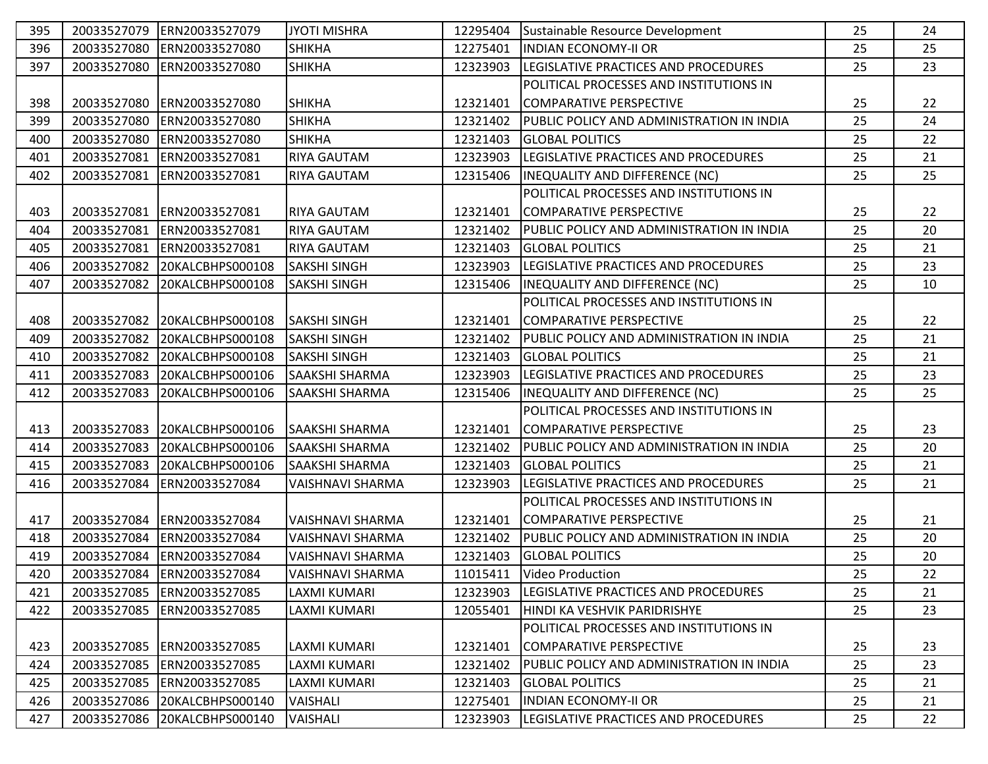| 395 | 20033527079 | ERN20033527079               | <b>JYOTI MISHRA</b>     | 12295404 | Sustainable Resource Development               | 25 | 24 |
|-----|-------------|------------------------------|-------------------------|----------|------------------------------------------------|----|----|
| 396 | 20033527080 | ERN20033527080               | <b>SHIKHA</b>           | 12275401 | <b>INDIAN ECONOMY-II OR</b>                    | 25 | 25 |
| 397 | 20033527080 | ERN20033527080               | <b>SHIKHA</b>           | 12323903 | LEGISLATIVE PRACTICES AND PROCEDURES           | 25 | 23 |
|     |             |                              |                         |          | POLITICAL PROCESSES AND INSTITUTIONS IN        |    |    |
| 398 |             | 20033527080 ERN20033527080   | <b>SHIKHA</b>           | 12321401 | COMPARATIVE PERSPECTIVE                        | 25 | 22 |
| 399 | 20033527080 | ERN20033527080               | <b>SHIKHA</b>           | 12321402 | PUBLIC POLICY AND ADMINISTRATION IN INDIA      | 25 | 24 |
| 400 | 20033527080 | ERN20033527080               | <b>SHIKHA</b>           | 12321403 | <b>GLOBAL POLITICS</b>                         | 25 | 22 |
| 401 | 20033527081 | ERN20033527081               | RIYA GAUTAM             | 12323903 | LEGISLATIVE PRACTICES AND PROCEDURES           | 25 | 21 |
| 402 | 20033527081 | ERN20033527081               | <b>RIYA GAUTAM</b>      | 12315406 | <b>INEQUALITY AND DIFFERENCE (NC)</b>          | 25 | 25 |
|     |             |                              |                         |          | POLITICAL PROCESSES AND INSTITUTIONS IN        |    |    |
| 403 |             | 20033527081 ERN20033527081   | <b>RIYA GAUTAM</b>      | 12321401 | COMPARATIVE PERSPECTIVE                        | 25 | 22 |
| 404 | 20033527081 | ERN20033527081               | <b>RIYA GAUTAM</b>      | 12321402 | PUBLIC POLICY AND ADMINISTRATION IN INDIA      | 25 | 20 |
| 405 | 20033527081 | ERN20033527081               | RIYA GAUTAM             | 12321403 | <b>GLOBAL POLITICS</b>                         | 25 | 21 |
| 406 | 20033527082 | 20KALCBHPS000108             | <b>SAKSHI SINGH</b>     | 12323903 | LEGISLATIVE PRACTICES AND PROCEDURES           | 25 | 23 |
| 407 | 20033527082 | 20KALCBHPS000108             | <b>SAKSHI SINGH</b>     | 12315406 | <b>INEQUALITY AND DIFFERENCE (NC)</b>          | 25 | 10 |
|     |             |                              |                         |          | POLITICAL PROCESSES AND INSTITUTIONS IN        |    |    |
| 408 |             | 20033527082 20KALCBHPS000108 | <b>SAKSHI SINGH</b>     | 12321401 | <b>COMPARATIVE PERSPECTIVE</b>                 | 25 | 22 |
| 409 |             | 20033527082 20KALCBHPS000108 | <b>SAKSHI SINGH</b>     | 12321402 | PUBLIC POLICY AND ADMINISTRATION IN INDIA      | 25 | 21 |
| 410 | 20033527082 | 20KALCBHPS000108             | <b>SAKSHI SINGH</b>     | 12321403 | <b>GLOBAL POLITICS</b>                         | 25 | 21 |
| 411 | 20033527083 | 20KALCBHPS000106             | <b>SAAKSHI SHARMA</b>   | 12323903 | LEGISLATIVE PRACTICES AND PROCEDURES           | 25 | 23 |
| 412 | 20033527083 | 20KALCBHPS000106             | SAAKSHI SHARMA          | 12315406 | INEQUALITY AND DIFFERENCE (NC)                 | 25 | 25 |
|     |             |                              |                         |          | POLITICAL PROCESSES AND INSTITUTIONS IN        |    |    |
| 413 |             | 20033527083 20KALCBHPS000106 | <b>SAAKSHI SHARMA</b>   | 12321401 | COMPARATIVE PERSPECTIVE                        | 25 | 23 |
| 414 |             | 20033527083 20KALCBHPS000106 | <b>SAAKSHI SHARMA</b>   | 12321402 | PUBLIC POLICY AND ADMINISTRATION IN INDIA      | 25 | 20 |
| 415 | 20033527083 | 20KALCBHPS000106             | <b>SAAKSHI SHARMA</b>   | 12321403 | <b>GLOBAL POLITICS</b>                         | 25 | 21 |
| 416 | 20033527084 | ERN20033527084               | VAISHNAVI SHARMA        | 12323903 | LEGISLATIVE PRACTICES AND PROCEDURES           | 25 | 21 |
|     |             |                              |                         |          | POLITICAL PROCESSES AND INSTITUTIONS IN        |    |    |
| 417 |             | 20033527084 ERN20033527084   | <b>VAISHNAVI SHARMA</b> | 12321401 | COMPARATIVE PERSPECTIVE                        | 25 | 21 |
| 418 |             | 20033527084 ERN20033527084   | VAISHNAVI SHARMA        | 12321402 | PUBLIC POLICY AND ADMINISTRATION IN INDIA      | 25 | 20 |
| 419 |             | 20033527084 ERN20033527084   | <b>VAISHNAVI SHARMA</b> | 12321403 | <b>GLOBAL POLITICS</b>                         | 25 | 20 |
| 420 |             | 20033527084 ERN20033527084   | VAISHNAVI SHARMA        | 11015411 | Video Production                               | 25 | 22 |
| 421 | 20033527085 | ERN20033527085               | LAXMI KUMARI            | 12323903 | LEGISLATIVE PRACTICES AND PROCEDURES           | 25 | 21 |
| 422 | 20033527085 | ERN20033527085               | LAXMI KUMARI            | 12055401 | HINDI KA VESHVIK PARIDRISHYE                   | 25 | 23 |
|     |             |                              |                         |          | <b>POLITICAL PROCESSES AND INSTITUTIONS IN</b> |    |    |
| 423 | 20033527085 | ERN20033527085               | <b>LAXMI KUMARI</b>     | 12321401 | COMPARATIVE PERSPECTIVE                        | 25 | 23 |
| 424 |             | 20033527085 ERN20033527085   | LAXMI KUMARI            | 12321402 | PUBLIC POLICY AND ADMINISTRATION IN INDIA      | 25 | 23 |
| 425 |             | 20033527085 ERN20033527085   | LAXMI KUMARI            | 12321403 | <b>GLOBAL POLITICS</b>                         | 25 | 21 |
| 426 | 20033527086 | 20KALCBHPS000140             | <b>VAISHALI</b>         | 12275401 | <b>INDIAN ECONOMY-II OR</b>                    | 25 | 21 |
| 427 |             | 20033527086 20KALCBHPS000140 | <b>VAISHALI</b>         | 12323903 | <b>LEGISLATIVE PRACTICES AND PROCEDURES</b>    | 25 | 22 |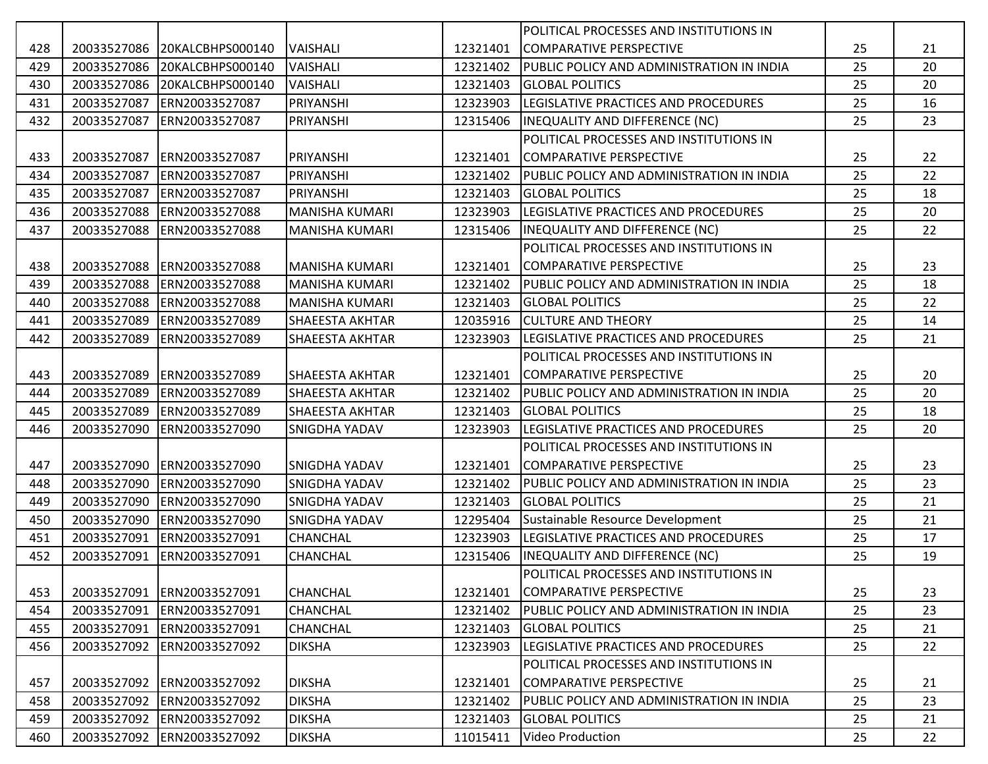|     |             |                            |                        |          | POLITICAL PROCESSES AND INSTITUTIONS IN    |    |    |
|-----|-------------|----------------------------|------------------------|----------|--------------------------------------------|----|----|
| 428 | 20033527086 | 20KALCBHPS000140           | <b>VAISHALI</b>        | 12321401 | COMPARATIVE PERSPECTIVE                    | 25 | 21 |
| 429 | 20033527086 | 20KALCBHPS000140           | <b>VAISHALI</b>        | 12321402 | PUBLIC POLICY AND ADMINISTRATION IN INDIA  | 25 | 20 |
| 430 | 20033527086 | 20KALCBHPS000140           | <b>VAISHALI</b>        | 12321403 | <b>GLOBAL POLITICS</b>                     | 25 | 20 |
| 431 | 20033527087 | ERN20033527087             | PRIYANSHI              | 12323903 | LEGISLATIVE PRACTICES AND PROCEDURES       | 25 | 16 |
| 432 | 20033527087 | ERN20033527087             | PRIYANSHI              | 12315406 | INEQUALITY AND DIFFERENCE (NC)             | 25 | 23 |
|     |             |                            |                        |          | POLITICAL PROCESSES AND INSTITUTIONS IN    |    |    |
| 433 | 20033527087 | ERN20033527087             | PRIYANSHI              | 12321401 | COMPARATIVE PERSPECTIVE                    | 25 | 22 |
| 434 | 20033527087 | ERN20033527087             | PRIYANSHI              | 12321402 | PUBLIC POLICY AND ADMINISTRATION IN INDIA  | 25 | 22 |
| 435 | 20033527087 | ERN20033527087             | PRIYANSHI              | 12321403 | <b>GLOBAL POLITICS</b>                     | 25 | 18 |
| 436 | 20033527088 | ERN20033527088             | <b>MANISHA KUMARI</b>  | 12323903 | LEGISLATIVE PRACTICES AND PROCEDURES       | 25 | 20 |
| 437 | 20033527088 | ERN20033527088             | <b>MANISHA KUMARI</b>  | 12315406 | INEQUALITY AND DIFFERENCE (NC)             | 25 | 22 |
|     |             |                            |                        |          | POLITICAL PROCESSES AND INSTITUTIONS IN    |    |    |
| 438 | 20033527088 | ERN20033527088             | <b>MANISHA KUMARI</b>  | 12321401 | COMPARATIVE PERSPECTIVE                    | 25 | 23 |
| 439 | 20033527088 | ERN20033527088             | <b>MANISHA KUMARI</b>  | 12321402 | PUBLIC POLICY AND ADMINISTRATION IN INDIA  | 25 | 18 |
| 440 | 20033527088 | ERN20033527088             | <b>MANISHA KUMARI</b>  | 12321403 | <b>GLOBAL POLITICS</b>                     | 25 | 22 |
| 441 | 20033527089 | ERN20033527089             | <b>SHAEESTA AKHTAR</b> | 12035916 | <b>CULTURE AND THEORY</b>                  | 25 | 14 |
| 442 | 20033527089 | ERN20033527089             | <b>SHAEESTA AKHTAR</b> | 12323903 | LEGISLATIVE PRACTICES AND PROCEDURES       | 25 | 21 |
|     |             |                            |                        |          | POLITICAL PROCESSES AND INSTITUTIONS IN    |    |    |
| 443 | 20033527089 | ERN20033527089             | <b>SHAEESTA AKHTAR</b> | 12321401 | COMPARATIVE PERSPECTIVE                    | 25 | 20 |
| 444 | 20033527089 | ERN20033527089             | <b>SHAEESTA AKHTAR</b> | 12321402 | PUBLIC POLICY AND ADMINISTRATION IN INDIA  | 25 | 20 |
| 445 | 20033527089 | ERN20033527089             | <b>SHAEESTA AKHTAR</b> | 12321403 | <b>GLOBAL POLITICS</b>                     | 25 | 18 |
| 446 | 20033527090 | ERN20033527090             | <b>SNIGDHA YADAV</b>   | 12323903 | LEGISLATIVE PRACTICES AND PROCEDURES       | 25 | 20 |
|     |             |                            |                        |          | POLITICAL PROCESSES AND INSTITUTIONS IN    |    |    |
| 447 | 20033527090 | ERN20033527090             | <b>SNIGDHA YADAV</b>   | 12321401 | COMPARATIVE PERSPECTIVE                    | 25 | 23 |
| 448 | 20033527090 | ERN20033527090             | <b>SNIGDHA YADAV</b>   | 12321402 | PUBLIC POLICY AND ADMINISTRATION IN INDIA  | 25 | 23 |
| 449 | 20033527090 | ERN20033527090             | <b>SNIGDHA YADAV</b>   | 12321403 | <b>GLOBAL POLITICS</b>                     | 25 | 21 |
| 450 | 20033527090 | ERN20033527090             | <b>SNIGDHA YADAV</b>   | 12295404 | Sustainable Resource Development           | 25 | 21 |
| 451 | 20033527091 | ERN20033527091             | <b>CHANCHAL</b>        | 12323903 | LEGISLATIVE PRACTICES AND PROCEDURES       | 25 | 17 |
| 452 | 20033527091 | ERN20033527091             | <b>CHANCHAL</b>        | 12315406 | INEQUALITY AND DIFFERENCE (NC)             | 25 | 19 |
|     |             |                            |                        |          | POLITICAL PROCESSES AND INSTITUTIONS IN    |    |    |
| 453 |             | 20033527091 ERN20033527091 | <b>CHANCHAL</b>        |          | 12321401 COMPARATIVE PERSPECTIVE           | 25 | 23 |
| 454 | 20033527091 | ERN20033527091             | <b>CHANCHAL</b>        | 12321402 | IPUBLIC POLICY AND ADMINISTRATION IN INDIA | 25 | 23 |
| 455 | 20033527091 | ERN20033527091             | <b>CHANCHAL</b>        | 12321403 | <b>GLOBAL POLITICS</b>                     | 25 | 21 |
| 456 | 20033527092 | ERN20033527092             | <b>DIKSHA</b>          | 12323903 | LEGISLATIVE PRACTICES AND PROCEDURES       | 25 | 22 |
|     |             |                            |                        |          | POLITICAL PROCESSES AND INSTITUTIONS IN    |    |    |
| 457 |             | 20033527092 ERN20033527092 | <b>DIKSHA</b>          | 12321401 | COMPARATIVE PERSPECTIVE                    | 25 | 21 |
| 458 |             | 20033527092 ERN20033527092 | <b>DIKSHA</b>          | 12321402 | PUBLIC POLICY AND ADMINISTRATION IN INDIA  | 25 | 23 |
| 459 |             | 20033527092 ERN20033527092 | <b>DIKSHA</b>          | 12321403 | <b>I</b> GLOBAL POLITICS                   | 25 | 21 |
| 460 |             | 20033527092 ERN20033527092 | <b>DIKSHA</b>          | 11015411 | Video Production                           | 25 | 22 |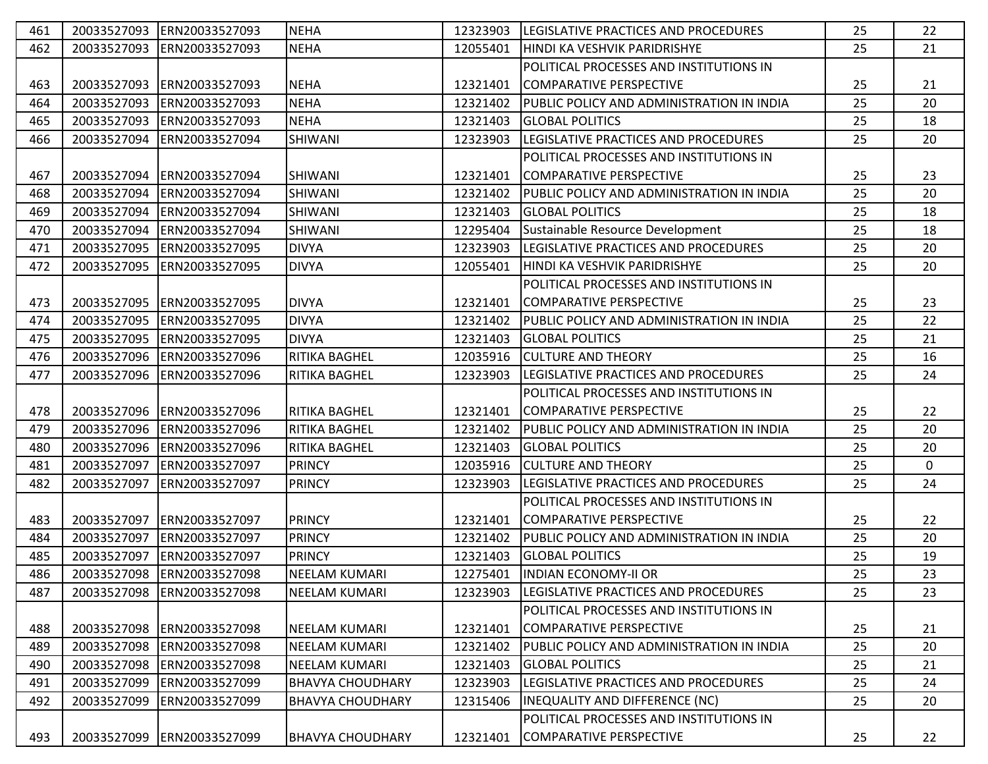| 461        |             |                                                          |                                                 |                      |                                                                     |          |              |
|------------|-------------|----------------------------------------------------------|-------------------------------------------------|----------------------|---------------------------------------------------------------------|----------|--------------|
|            | 20033527093 | ERN20033527093                                           | <b>NEHA</b>                                     | 12323903             | LEGISLATIVE PRACTICES AND PROCEDURES                                | 25       | 22           |
| 462        | 20033527093 | ERN20033527093                                           | <b>NEHA</b>                                     | 12055401             | HINDI KA VESHVIK PARIDRISHYE                                        | 25       | 21           |
|            |             |                                                          |                                                 |                      | POLITICAL PROCESSES AND INSTITUTIONS IN                             |          |              |
| 463        | 20033527093 | ERN20033527093                                           | <b>NEHA</b>                                     | 12321401             | <b>COMPARATIVE PERSPECTIVE</b>                                      | 25       | 21           |
| 464        | 20033527093 | ERN20033527093                                           | <b>NEHA</b>                                     | 12321402             | PUBLIC POLICY AND ADMINISTRATION IN INDIA                           | 25       | 20           |
| 465        | 20033527093 | ERN20033527093                                           | <b>NEHA</b>                                     | 12321403             | <b>GLOBAL POLITICS</b>                                              | 25       | 18           |
| 466        | 20033527094 | ERN20033527094                                           | <b>SHIWANI</b>                                  | 12323903             | LEGISLATIVE PRACTICES AND PROCEDURES                                | 25       | 20           |
|            |             |                                                          |                                                 |                      | POLITICAL PROCESSES AND INSTITUTIONS IN                             |          |              |
| 467        | 20033527094 | ERN20033527094                                           | <b>SHIWANI</b>                                  | 12321401             | <b>COMPARATIVE PERSPECTIVE</b>                                      | 25       | 23           |
| 468        | 20033527094 | ERN20033527094                                           | <b>SHIWANI</b>                                  | 12321402             | PUBLIC POLICY AND ADMINISTRATION IN INDIA                           | 25       | 20           |
| 469        | 20033527094 | ERN20033527094                                           | <b>SHIWANI</b>                                  | 12321403             | <b>GLOBAL POLITICS</b>                                              | 25       | 18           |
| 470        | 20033527094 | ERN20033527094                                           | <b>SHIWANI</b>                                  | 12295404             | Sustainable Resource Development                                    | 25       | 18           |
| 471        | 20033527095 | ERN20033527095                                           | <b>DIVYA</b>                                    | 12323903             | LEGISLATIVE PRACTICES AND PROCEDURES                                | 25       | 20           |
| 472        | 20033527095 | ERN20033527095                                           | <b>DIVYA</b>                                    | 12055401             | HINDI KA VESHVIK PARIDRISHYE                                        | 25       | 20           |
|            |             |                                                          |                                                 |                      | POLITICAL PROCESSES AND INSTITUTIONS IN                             |          |              |
| 473        | 20033527095 | ERN20033527095                                           | <b>DIVYA</b>                                    | 12321401             | <b>COMPARATIVE PERSPECTIVE</b>                                      | 25       | 23           |
| 474        | 20033527095 | ERN20033527095                                           | <b>DIVYA</b>                                    | 12321402             | IPUBLIC POLICY AND ADMINISTRATION IN INDIA                          | 25       | 22           |
| 475        |             | 20033527095 ERN20033527095                               | <b>DIVYA</b>                                    | 12321403             | <b>GLOBAL POLITICS</b>                                              | 25       | 21           |
| 476        | 20033527096 | ERN20033527096                                           | <b>RITIKA BAGHEL</b>                            | 12035916             | <b>CULTURE AND THEORY</b>                                           | 25       | 16           |
| 477        | 20033527096 | ERN20033527096                                           | <b>RITIKA BAGHEL</b>                            | 12323903             | LEGISLATIVE PRACTICES AND PROCEDURES                                | 25       | 24           |
|            |             |                                                          |                                                 |                      | POLITICAL PROCESSES AND INSTITUTIONS IN                             |          |              |
| 478        | 20033527096 | ERN20033527096                                           | <b>RITIKA BAGHEL</b>                            | 12321401             | <b>COMPARATIVE PERSPECTIVE</b>                                      | 25       | 22           |
|            |             |                                                          |                                                 |                      |                                                                     |          |              |
| 479        | 20033527096 | ERN20033527096                                           | <b>RITIKA BAGHEL</b>                            | 12321402             | PUBLIC POLICY AND ADMINISTRATION IN INDIA                           | 25       | 20           |
| 480        | 20033527096 | ERN20033527096                                           | <b>RITIKA BAGHEL</b>                            | 12321403             | <b>GLOBAL POLITICS</b>                                              | 25       | 20           |
| 481        | 20033527097 | ERN20033527097                                           | <b>PRINCY</b>                                   | 12035916             | <b>CULTURE AND THEORY</b>                                           | 25       | $\mathbf{0}$ |
| 482        | 20033527097 | ERN20033527097                                           | <b>PRINCY</b>                                   | 12323903             | LEGISLATIVE PRACTICES AND PROCEDURES                                | 25       | 24           |
|            |             |                                                          |                                                 |                      | POLITICAL PROCESSES AND INSTITUTIONS IN                             |          |              |
| 483        | 20033527097 | ERN20033527097                                           | <b>PRINCY</b>                                   | 12321401             | <b>COMPARATIVE PERSPECTIVE</b>                                      | 25       | 22           |
| 484        | 20033527097 | ERN20033527097                                           | <b>PRINCY</b>                                   | 12321402             | PUBLIC POLICY AND ADMINISTRATION IN INDIA                           | 25       | 20           |
| 485        | 20033527097 | ERN20033527097                                           | <b>PRINCY</b>                                   | 12321403             | <b>GLOBAL POLITICS</b>                                              | 25       | 19           |
| 486        |             |                                                          |                                                 |                      |                                                                     |          |              |
|            | 20033527098 | 20033527098 ERN20033527098<br>ERN20033527098             | <b>NEELAM KUMARI</b><br><b>NEELAM KUMARI</b>    | 12275401<br>12323903 | <b>INDIAN ECONOMY-II OR</b><br>LEGISLATIVE PRACTICES AND PROCEDURES | 25<br>25 | 23<br>23     |
| 487        |             |                                                          |                                                 |                      | POLITICAL PROCESSES AND INSTITUTIONS IN                             |          |              |
|            | 20033527098 | ERN20033527098                                           | NEELAM KUMARI                                   | 12321401             | ICOMPARATIVE PERSPECTIVE                                            | 25       | 21           |
| 488        |             |                                                          | <b>NEELAM KUMARI</b>                            |                      |                                                                     |          |              |
| 489        |             | 20033527098 ERN20033527098                               |                                                 | 12321402             | PUBLIC POLICY AND ADMINISTRATION IN INDIA                           | 25       | 20           |
| 490<br>491 |             | 20033527098 ERN20033527098<br>20033527099 ERN20033527099 | <b>NEELAM KUMARI</b><br><b>BHAVYA CHOUDHARY</b> | 12321403<br>12323903 | <b>GLOBAL POLITICS</b><br>LEGISLATIVE PRACTICES AND PROCEDURES      | 25<br>25 | 21<br>24     |
| 492        | 20033527099 | ERN20033527099                                           | <b>BHAVYA CHOUDHARY</b>                         | 12315406             | <b>INEQUALITY AND DIFFERENCE (NC)</b>                               | 25       | 20           |
|            |             |                                                          |                                                 |                      | POLITICAL PROCESSES AND INSTITUTIONS IN                             |          |              |
| 493        |             | 20033527099 ERN20033527099                               | <b>BHAVYA CHOUDHARY</b>                         | 12321401             | COMPARATIVE PERSPECTIVE                                             | 25       | 22           |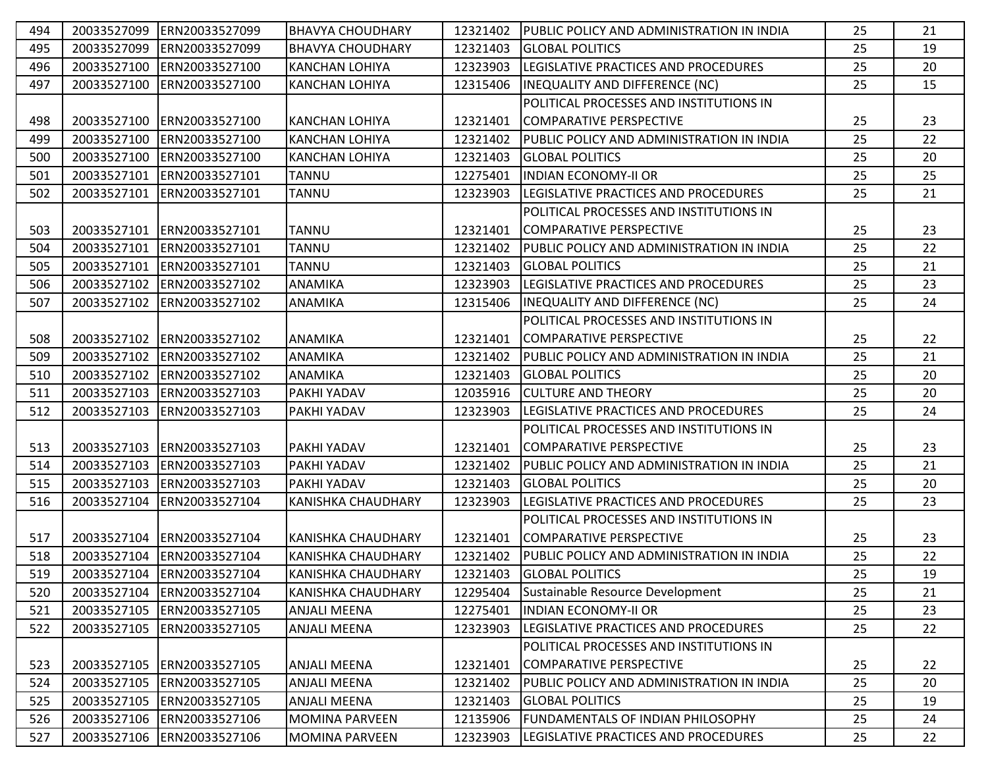| 494 | 20033527099 | ERN20033527099              | <b>BHAVYA CHOUDHARY</b>   | 12321402 | <b>PUBLIC POLICY AND ADMINISTRATION IN INDIA</b> | 25 | 21 |
|-----|-------------|-----------------------------|---------------------------|----------|--------------------------------------------------|----|----|
| 495 | 20033527099 | ERN20033527099              | <b>BHAVYA CHOUDHARY</b>   | 12321403 | <b>GLOBAL POLITICS</b>                           | 25 | 19 |
| 496 | 20033527100 | ERN20033527100              | <b>KANCHAN LOHIYA</b>     | 12323903 | LEGISLATIVE PRACTICES AND PROCEDURES             | 25 | 20 |
| 497 |             | 20033527100 ERN20033527100  | <b>KANCHAN LOHIYA</b>     | 12315406 | <b>INEQUALITY AND DIFFERENCE (NC)</b>            | 25 | 15 |
|     |             |                             |                           |          | POLITICAL PROCESSES AND INSTITUTIONS IN          |    |    |
| 498 |             | 20033527100 ERN20033527100  | <b>KANCHAN LOHIYA</b>     | 12321401 | COMPARATIVE PERSPECTIVE                          | 25 | 23 |
| 499 | 20033527100 | ERN20033527100              | <b>KANCHAN LOHIYA</b>     | 12321402 | PUBLIC POLICY AND ADMINISTRATION IN INDIA        | 25 | 22 |
| 500 | 20033527100 | ERN20033527100              | <b>KANCHAN LOHIYA</b>     | 12321403 | <b>GLOBAL POLITICS</b>                           | 25 | 20 |
| 501 | 20033527101 | ERN20033527101              | <b>TANNU</b>              | 12275401 | <b>IINDIAN ECONOMY-II OR</b>                     | 25 | 25 |
| 502 | 20033527101 | ERN20033527101              | <b>TANNU</b>              | 12323903 | <b>LEGISLATIVE PRACTICES AND PROCEDURES</b>      | 25 | 21 |
|     |             |                             |                           |          | POLITICAL PROCESSES AND INSTITUTIONS IN          |    |    |
| 503 | 20033527101 | ERN20033527101              | <b>TANNU</b>              | 12321401 | COMPARATIVE PERSPECTIVE                          | 25 | 23 |
| 504 | 20033527101 | ERN20033527101              | <b>TANNU</b>              | 12321402 | PUBLIC POLICY AND ADMINISTRATION IN INDIA        | 25 | 22 |
| 505 | 20033527101 | ERN20033527101              | <b>TANNU</b>              | 12321403 | <b>GLOBAL POLITICS</b>                           | 25 | 21 |
| 506 | 20033527102 | ERN20033527102              | <b>ANAMIKA</b>            | 12323903 | LEGISLATIVE PRACTICES AND PROCEDURES             | 25 | 23 |
| 507 | 20033527102 | ERN20033527102              | <b>ANAMIKA</b>            | 12315406 | <b>INEQUALITY AND DIFFERENCE (NC)</b>            | 25 | 24 |
|     |             |                             |                           |          | POLITICAL PROCESSES AND INSTITUTIONS IN          |    |    |
| 508 | 20033527102 | ERN20033527102              | <b>ANAMIKA</b>            | 12321401 | COMPARATIVE PERSPECTIVE                          | 25 | 22 |
| 509 | 20033527102 | ERN20033527102              | ANAMIKA                   | 12321402 | PUBLIC POLICY AND ADMINISTRATION IN INDIA        | 25 | 21 |
| 510 | 20033527102 | ERN20033527102              | <b>ANAMIKA</b>            | 12321403 | <b>GLOBAL POLITICS</b>                           | 25 | 20 |
| 511 |             | 20033527103 ERN20033527103  | <b>PAKHI YADAV</b>        | 12035916 | <b>CULTURE AND THEORY</b>                        | 25 | 20 |
| 512 |             | 20033527103 ERN20033527103  | <b>PAKHI YADAV</b>        | 12323903 | LEGISLATIVE PRACTICES AND PROCEDURES             | 25 | 24 |
|     |             |                             |                           |          | POLITICAL PROCESSES AND INSTITUTIONS IN          |    |    |
| 513 |             | 20033527103 ERN20033527103  | <b>PAKHI YADAV</b>        | 12321401 | <b>COMPARATIVE PERSPECTIVE</b>                   | 25 | 23 |
| 514 | 20033527103 | ERN20033527103              | PAKHI YADAV               | 12321402 | PUBLIC POLICY AND ADMINISTRATION IN INDIA        | 25 | 21 |
| 515 |             | 20033527103 ERN20033527103  | <b>PAKHI YADAV</b>        | 12321403 | <b>GLOBAL POLITICS</b>                           | 25 | 20 |
| 516 |             | 20033527104 ERN20033527104  | <b>KANISHKA CHAUDHARY</b> | 12323903 | <b>LEGISLATIVE PRACTICES AND PROCEDURES</b>      | 25 | 23 |
|     |             |                             |                           |          | POLITICAL PROCESSES AND INSTITUTIONS IN          |    |    |
| 517 |             | 20033527104 ERN20033527104  | KANISHKA CHAUDHARY        | 12321401 | <b>COMPARATIVE PERSPECTIVE</b>                   | 25 | 23 |
| 518 |             | 20033527104 ERN20033527104  | <b>KANISHKA CHAUDHARY</b> | 12321402 | PUBLIC POLICY AND ADMINISTRATION IN INDIA        | 25 | 22 |
| 519 |             | 20033527104 ERN20033527104  | <b>KANISHKA CHAUDHARY</b> | 12321403 | <b>GLOBAL POLITICS</b>                           | 25 | 19 |
| 520 |             | 20033527104 ERN20033527104  | <b>KANISHKA CHAUDHARY</b> | 12295404 | Sustainable Resource Development                 | 25 | 21 |
| 521 | 20033527105 | ERN20033527105              | <b>ANJALI MEENA</b>       | 12275401 | <b>INDIAN ECONOMY-II OR</b>                      | 25 | 23 |
| 522 |             | 20033527105 ERN20033527105  | <b>ANJALI MEENA</b>       | 12323903 | LEGISLATIVE PRACTICES AND PROCEDURES             | 25 | 22 |
|     |             |                             |                           |          | POLITICAL PROCESSES AND INSTITUTIONS IN          |    |    |
| 523 |             | 20033527105  ERN20033527105 | <b>ANJALI MEENA</b>       | 12321401 | COMPARATIVE PERSPECTIVE                          | 25 | 22 |
| 524 |             | 20033527105 ERN20033527105  | <b>ANJALI MEENA</b>       | 12321402 | PUBLIC POLICY AND ADMINISTRATION IN INDIA        | 25 | 20 |
| 525 |             | 20033527105 ERN20033527105  | <b>ANJALI MEENA</b>       | 12321403 | <b>GLOBAL POLITICS</b>                           | 25 | 19 |
| 526 |             | 20033527106 ERN20033527106  | <b>MOMINA PARVEEN</b>     | 12135906 | FUNDAMENTALS OF INDIAN PHILOSOPHY                | 25 | 24 |
| 527 |             | 20033527106 ERN20033527106  | MOMINA PARVEEN            | 12323903 | LEGISLATIVE PRACTICES AND PROCEDURES             | 25 | 22 |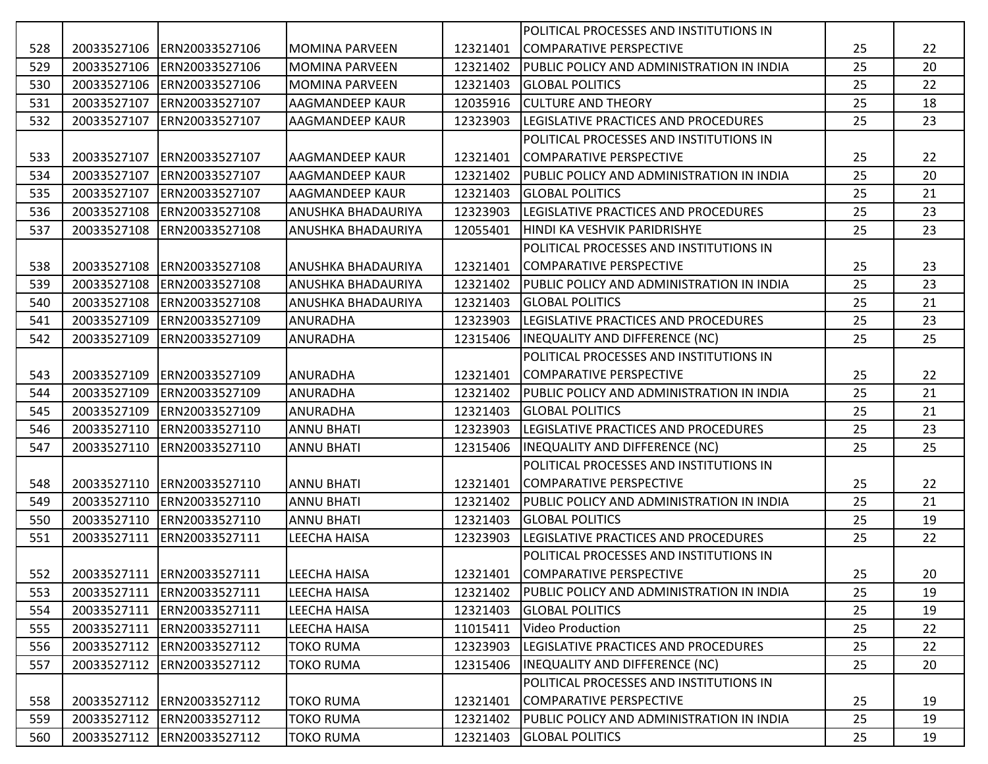|     |             |                              |                           |          | POLITICAL PROCESSES AND INSTITUTIONS IN      |    |    |
|-----|-------------|------------------------------|---------------------------|----------|----------------------------------------------|----|----|
| 528 | 20033527106 | ERN20033527106               | <b>MOMINA PARVEEN</b>     | 12321401 | COMPARATIVE PERSPECTIVE                      | 25 | 22 |
| 529 | 20033527106 | ERN20033527106               | <b>MOMINA PARVEEN</b>     | 12321402 | PUBLIC POLICY AND ADMINISTRATION IN INDIA    | 25 | 20 |
| 530 |             | 20033527106 ERN20033527106   | <b>MOMINA PARVEEN</b>     | 12321403 | <b>GLOBAL POLITICS</b>                       | 25 | 22 |
| 531 | 20033527107 | ERN20033527107               | AAGMANDEEP KAUR           | 12035916 | <b>CULTURE AND THEORY</b>                    | 25 | 18 |
| 532 | 20033527107 | ERN20033527107               | <b>AAGMANDEEP KAUR</b>    | 12323903 | LEGISLATIVE PRACTICES AND PROCEDURES         | 25 | 23 |
|     |             |                              |                           |          | POLITICAL PROCESSES AND INSTITUTIONS IN      |    |    |
| 533 | 20033527107 | ERN20033527107               | <b>AAGMANDEEP KAUR</b>    | 12321401 | COMPARATIVE PERSPECTIVE                      | 25 | 22 |
| 534 | 20033527107 | ERN20033527107               | <b>AAGMANDEEP KAUR</b>    | 12321402 | IPUBLIC POLICY AND ADMINISTRATION IN INDIA   | 25 | 20 |
| 535 | 20033527107 | ERN20033527107               | AAGMANDEEP KAUR           | 12321403 | IGLOBAL POLITICS                             | 25 | 21 |
| 536 | 20033527108 | ERN20033527108               | ANUSHKA BHADAURIYA        | 12323903 | LEGISLATIVE PRACTICES AND PROCEDURES         | 25 | 23 |
| 537 | 20033527108 | ERN20033527108               | ANUSHKA BHADAURIYA        | 12055401 | HINDI KA VESHVIK PARIDRISHYE                 | 25 | 23 |
|     |             |                              |                           |          | POLITICAL PROCESSES AND INSTITUTIONS IN      |    |    |
| 538 | 20033527108 | ERN20033527108               | ANUSHKA BHADAURIYA        | 12321401 | <b>ICOMPARATIVE PERSPECTIVE</b>              | 25 | 23 |
| 539 | 20033527108 | ERN20033527108               | <b>ANUSHKA BHADAURIYA</b> | 12321402 | PUBLIC POLICY AND ADMINISTRATION IN INDIA    | 25 | 23 |
| 540 | 20033527108 | ERN20033527108               | ANUSHKA BHADAURIYA        | 12321403 | <b>GLOBAL POLITICS</b>                       | 25 | 21 |
| 541 | 20033527109 | ERN20033527109               | <b>ANURADHA</b>           | 12323903 | <b>ILEGISLATIVE PRACTICES AND PROCEDURES</b> | 25 | 23 |
| 542 | 20033527109 | ERN20033527109               | <b>ANURADHA</b>           | 12315406 | INEQUALITY AND DIFFERENCE (NC)               | 25 | 25 |
|     |             |                              |                           |          | POLITICAL PROCESSES AND INSTITUTIONS IN      |    |    |
| 543 | 20033527109 | ERN20033527109               | ANURADHA                  | 12321401 | <b>COMPARATIVE PERSPECTIVE</b>               | 25 | 22 |
| 544 | 20033527109 | ERN20033527109               | <b>ANURADHA</b>           | 12321402 | PUBLIC POLICY AND ADMINISTRATION IN INDIA    | 25 | 21 |
| 545 | 20033527109 | ERN20033527109               | <b>ANURADHA</b>           | 12321403 | IGLOBAL POLITICS                             | 25 | 21 |
| 546 | 20033527110 | ERN20033527110               | <b>ANNU BHATI</b>         | 12323903 | LEGISLATIVE PRACTICES AND PROCEDURES         | 25 | 23 |
| 547 | 20033527110 | ERN20033527110               | <b>ANNU BHATI</b>         | 12315406 | INEQUALITY AND DIFFERENCE (NC)               | 25 | 25 |
|     |             |                              |                           |          | POLITICAL PROCESSES AND INSTITUTIONS IN      |    |    |
| 548 | 20033527110 | ERN20033527110               | <b>ANNU BHATI</b>         | 12321401 | <b>COMPARATIVE PERSPECTIVE</b>               | 25 | 22 |
| 549 | 20033527110 | ERN20033527110               | <b>ANNU BHATI</b>         | 12321402 | PUBLIC POLICY AND ADMINISTRATION IN INDIA    | 25 | 21 |
| 550 | 20033527110 | ERN20033527110               | <b>ANNU BHATI</b>         | 12321403 | <b>GLOBAL POLITICS</b>                       | 25 | 19 |
| 551 | 20033527111 | ERN20033527111               | LEECHA HAISA              | 12323903 | LEGISLATIVE PRACTICES AND PROCEDURES         | 25 | 22 |
|     |             |                              |                           |          | POLITICAL PROCESSES AND INSTITUTIONS IN      |    |    |
| 552 |             | 20033527111   ERN20033527111 | LEECHA HAISA              |          | 12321401 COMPARATIVE PERSPECTIVE             | 25 | 20 |
| 553 |             | 20033527111 ERN20033527111   | LEECHA HAISA              | 12321402 | PUBLIC POLICY AND ADMINISTRATION IN INDIA    | 25 | 19 |
| 554 |             | 20033527111 ERN20033527111   | <b>LEECHA HAISA</b>       | 12321403 | <b>GLOBAL POLITICS</b>                       | 25 | 19 |
| 555 | 20033527111 | ERN20033527111               | LEECHA HAISA              | 11015411 | Video Production                             | 25 | 22 |
| 556 |             | 20033527112  ERN20033527112  | <b>TOKO RUMA</b>          | 12323903 | LEGISLATIVE PRACTICES AND PROCEDURES         | 25 | 22 |
| 557 |             | 20033527112 ERN20033527112   | <b>TOKO RUMA</b>          | 12315406 | <b>INEQUALITY AND DIFFERENCE (NC)</b>        | 25 | 20 |
|     |             |                              |                           |          | POLITICAL PROCESSES AND INSTITUTIONS IN      |    |    |
| 558 |             | 20033527112 ERN20033527112   | <b>TOKO RUMA</b>          | 12321401 | COMPARATIVE PERSPECTIVE                      | 25 | 19 |
| 559 |             | 20033527112 ERN20033527112   | <b>TOKO RUMA</b>          | 12321402 | PUBLIC POLICY AND ADMINISTRATION IN INDIA    | 25 | 19 |
| 560 |             | 20033527112 ERN20033527112   | <b>TOKO RUMA</b>          | 12321403 | <b>GLOBAL POLITICS</b>                       | 25 | 19 |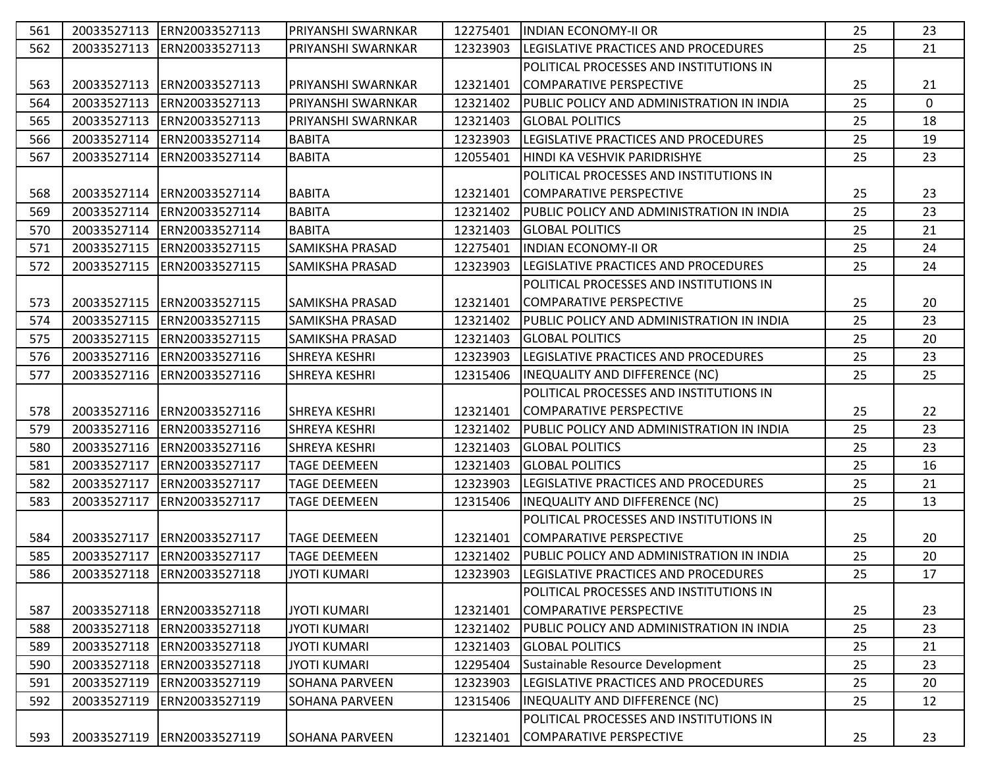| 561 |             | 20033527113 ERN20033527113  | PRIYANSHI SWARNKAR     | 12275401 | <b>INDIAN ECONOMY-II OR</b>                      | 25 | 23 |
|-----|-------------|-----------------------------|------------------------|----------|--------------------------------------------------|----|----|
| 562 | 20033527113 | ERN20033527113              | PRIYANSHI SWARNKAR     | 12323903 | LEGISLATIVE PRACTICES AND PROCEDURES             | 25 | 21 |
|     |             |                             |                        |          | POLITICAL PROCESSES AND INSTITUTIONS IN          |    |    |
| 563 | 20033527113 | ERN20033527113              | PRIYANSHI SWARNKAR     | 12321401 | COMPARATIVE PERSPECTIVE                          | 25 | 21 |
| 564 | 20033527113 | ERN20033527113              | PRIYANSHI SWARNKAR     | 12321402 | IPUBLIC POLICY AND ADMINISTRATION IN INDIA       | 25 | 0  |
| 565 |             | 20033527113 ERN20033527113  | PRIYANSHI SWARNKAR     | 12321403 | <b>GLOBAL POLITICS</b>                           | 25 | 18 |
| 566 | 20033527114 | ERN20033527114              | <b>BABITA</b>          | 12323903 | LEGISLATIVE PRACTICES AND PROCEDURES             | 25 | 19 |
| 567 | 20033527114 | ERN20033527114              | <b>BABITA</b>          | 12055401 | HINDI KA VESHVIK PARIDRISHYE                     | 25 | 23 |
|     |             |                             |                        |          | POLITICAL PROCESSES AND INSTITUTIONS IN          |    |    |
| 568 | 20033527114 | ERN20033527114              | <b>BABITA</b>          | 12321401 | COMPARATIVE PERSPECTIVE                          | 25 | 23 |
| 569 | 20033527114 | ERN20033527114              | <b>BABITA</b>          | 12321402 | PUBLIC POLICY AND ADMINISTRATION IN INDIA        | 25 | 23 |
| 570 | 20033527114 | ERN20033527114              | <b>BABITA</b>          | 12321403 | <b>GLOBAL POLITICS</b>                           | 25 | 21 |
| 571 |             | 20033527115  ERN20033527115 | <b>SAMIKSHA PRASAD</b> | 12275401 | <b>INDIAN ECONOMY-II OR</b>                      | 25 | 24 |
| 572 |             | 20033527115  ERN20033527115 | <b>SAMIKSHA PRASAD</b> | 12323903 | <b>ILEGISLATIVE PRACTICES AND PROCEDURES</b>     | 25 | 24 |
|     |             |                             |                        |          | POLITICAL PROCESSES AND INSTITUTIONS IN          |    |    |
| 573 | 20033527115 | ERN20033527115              | <b>SAMIKSHA PRASAD</b> | 12321401 | <b>COMPARATIVE PERSPECTIVE</b>                   | 25 | 20 |
| 574 | 20033527115 | ERN20033527115              | <b>SAMIKSHA PRASAD</b> | 12321402 | PUBLIC POLICY AND ADMINISTRATION IN INDIA        | 25 | 23 |
| 575 | 20033527115 | ERN20033527115              | <b>SAMIKSHA PRASAD</b> | 12321403 | <b>GLOBAL POLITICS</b>                           | 25 | 20 |
| 576 | 20033527116 | ERN20033527116              | <b>SHREYA KESHRI</b>   | 12323903 | LEGISLATIVE PRACTICES AND PROCEDURES             | 25 | 23 |
| 577 | 20033527116 | ERN20033527116              | <b>SHREYA KESHRI</b>   | 12315406 | INEQUALITY AND DIFFERENCE (NC)                   | 25 | 25 |
|     |             |                             |                        |          | POLITICAL PROCESSES AND INSTITUTIONS IN          |    |    |
| 578 |             | 20033527116 ERN20033527116  | <b>SHREYA KESHRI</b>   | 12321401 | COMPARATIVE PERSPECTIVE                          | 25 | 22 |
| 579 | 20033527116 | ERN20033527116              | <b>SHREYA KESHRI</b>   | 12321402 | <b>PUBLIC POLICY AND ADMINISTRATION IN INDIA</b> | 25 | 23 |
| 580 | 20033527116 | ERN20033527116              | <b>SHREYA KESHRI</b>   | 12321403 | <b>GLOBAL POLITICS</b>                           | 25 | 23 |
| 581 | 20033527117 | ERN20033527117              | <b>TAGE DEEMEEN</b>    | 12321403 | <b>GLOBAL POLITICS</b>                           | 25 | 16 |
| 582 | 20033527117 | ERN20033527117              | <b>TAGE DEEMEEN</b>    | 12323903 | LEGISLATIVE PRACTICES AND PROCEDURES             | 25 | 21 |
| 583 | 20033527117 | ERN20033527117              | <b>TAGE DEEMEEN</b>    | 12315406 | INEQUALITY AND DIFFERENCE (NC)                   | 25 | 13 |
|     |             |                             |                        |          | POLITICAL PROCESSES AND INSTITUTIONS IN          |    |    |
| 584 | 20033527117 | ERN20033527117              | <b>TAGE DEEMEEN</b>    | 12321401 | COMPARATIVE PERSPECTIVE                          | 25 | 20 |
| 585 | 20033527117 | ERN20033527117              | <b>TAGE DEEMEEN</b>    | 12321402 | PUBLIC POLICY AND ADMINISTRATION IN INDIA        | 25 | 20 |
| 586 |             | 20033527118  ERN20033527118 | <b>JYOTI KUMARI</b>    |          | 12323903  LEGISLATIVE PRACTICES AND PROCEDURES   | 25 | 17 |
|     |             |                             |                        |          | POLITICAL PROCESSES AND INSTITUTIONS IN          |    |    |
| 587 |             | 20033527118  ERN20033527118 | <b>JYOTI KUMARI</b>    | 12321401 | COMPARATIVE PERSPECTIVE                          | 25 | 23 |
| 588 | 20033527118 | ERN20033527118              | <b>JYOTI KUMARI</b>    | 12321402 | PUBLIC POLICY AND ADMINISTRATION IN INDIA        | 25 | 23 |
| 589 |             | 20033527118  ERN20033527118 | <b>JYOTI KUMARI</b>    | 12321403 | <b>GLOBAL POLITICS</b>                           | 25 | 21 |
| 590 |             | 20033527118 ERN20033527118  | <b>JYOTI KUMARI</b>    | 12295404 | Sustainable Resource Development                 | 25 | 23 |
| 591 |             | 20033527119  ERN20033527119 | <b>SOHANA PARVEEN</b>  | 12323903 | LEGISLATIVE PRACTICES AND PROCEDURES             | 25 | 20 |
| 592 |             | 20033527119  ERN20033527119 | <b>SOHANA PARVEEN</b>  | 12315406 | INEQUALITY AND DIFFERENCE (NC)                   | 25 | 12 |
|     |             |                             |                        |          | POLITICAL PROCESSES AND INSTITUTIONS IN          |    |    |
| 593 |             | 20033527119  ERN20033527119 | <b>SOHANA PARVEEN</b>  | 12321401 | COMPARATIVE PERSPECTIVE                          | 25 | 23 |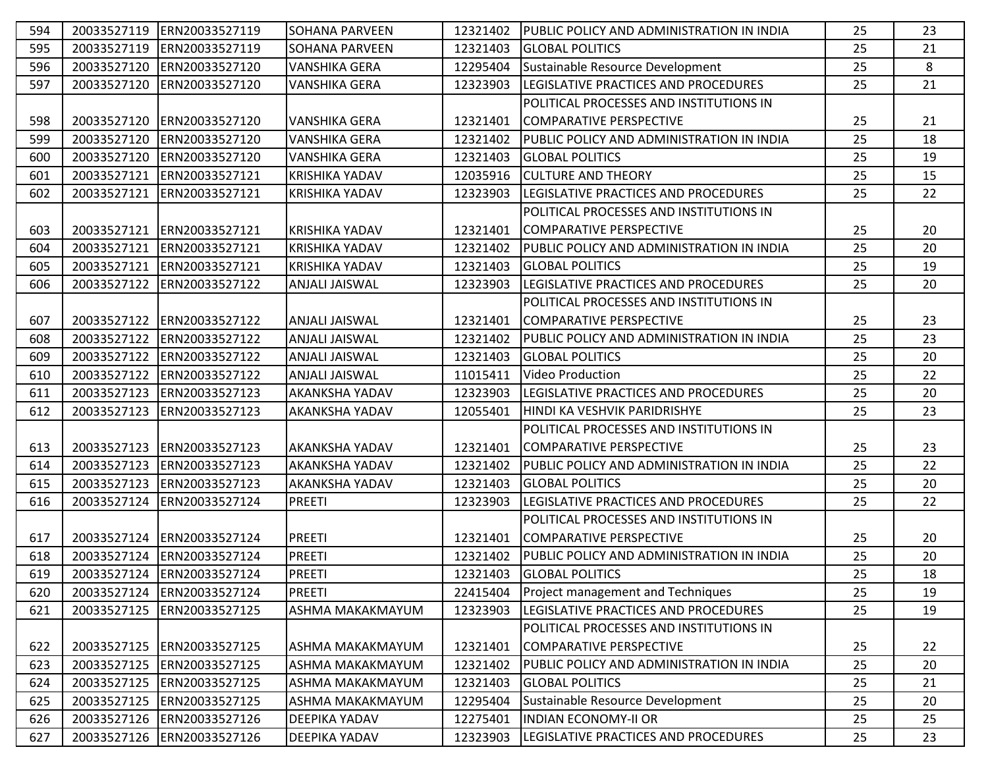| 594 |             | 20033527119 ERN20033527119  | <b>SOHANA PARVEEN</b> | 12321402 | PUBLIC POLICY AND ADMINISTRATION IN INDIA | 25 | 23 |
|-----|-------------|-----------------------------|-----------------------|----------|-------------------------------------------|----|----|
| 595 | 20033527119 | ERN20033527119              | <b>SOHANA PARVEEN</b> | 12321403 | <b>GLOBAL POLITICS</b>                    | 25 | 21 |
| 596 | 20033527120 | ERN20033527120              | <b>VANSHIKA GERA</b>  | 12295404 | Sustainable Resource Development          | 25 | 8  |
| 597 | 20033527120 | ERN20033527120              | <b>VANSHIKA GERA</b>  | 12323903 | LEGISLATIVE PRACTICES AND PROCEDURES      | 25 | 21 |
|     |             |                             |                       |          | POLITICAL PROCESSES AND INSTITUTIONS IN   |    |    |
| 598 | 20033527120 | ERN20033527120              | <b>VANSHIKA GERA</b>  | 12321401 | COMPARATIVE PERSPECTIVE                   | 25 | 21 |
| 599 | 20033527120 | ERN20033527120              | <b>VANSHIKA GERA</b>  | 12321402 | PUBLIC POLICY AND ADMINISTRATION IN INDIA | 25 | 18 |
| 600 | 20033527120 | ERN20033527120              | <b>VANSHIKA GERA</b>  | 12321403 | <b>GLOBAL POLITICS</b>                    | 25 | 19 |
| 601 |             | 20033527121 ERN20033527121  | <b>KRISHIKA YADAV</b> | 12035916 | <b>CULTURE AND THEORY</b>                 | 25 | 15 |
| 602 | 20033527121 | ERN20033527121              | <b>KRISHIKA YADAV</b> | 12323903 | LEGISLATIVE PRACTICES AND PROCEDURES      | 25 | 22 |
|     |             |                             |                       |          | POLITICAL PROCESSES AND INSTITUTIONS IN   |    |    |
| 603 | 20033527121 | ERN20033527121              | <b>KRISHIKA YADAV</b> | 12321401 | COMPARATIVE PERSPECTIVE                   | 25 | 20 |
| 604 | 20033527121 | ERN20033527121              | <b>KRISHIKA YADAV</b> | 12321402 | PUBLIC POLICY AND ADMINISTRATION IN INDIA | 25 | 20 |
| 605 | 20033527121 | ERN20033527121              | <b>KRISHIKA YADAV</b> | 12321403 | <b>GLOBAL POLITICS</b>                    | 25 | 19 |
| 606 |             | 20033527122 ERN20033527122  | <b>ANJALI JAISWAL</b> | 12323903 | LEGISLATIVE PRACTICES AND PROCEDURES      | 25 | 20 |
|     |             |                             |                       |          | POLITICAL PROCESSES AND INSTITUTIONS IN   |    |    |
| 607 | 20033527122 | ERN20033527122              | <b>ANJALI JAISWAL</b> | 12321401 | COMPARATIVE PERSPECTIVE                   | 25 | 23 |
| 608 | 20033527122 | ERN20033527122              | <b>ANJALI JAISWAL</b> | 12321402 | PUBLIC POLICY AND ADMINISTRATION IN INDIA | 25 | 23 |
| 609 | 20033527122 | ERN20033527122              | ANJALI JAISWAL        | 12321403 | <b>GLOBAL POLITICS</b>                    | 25 | 20 |
| 610 | 20033527122 | ERN20033527122              | <b>ANJALI JAISWAL</b> | 11015411 | <b>Video Production</b>                   | 25 | 22 |
| 611 | 20033527123 | ERN20033527123              | <b>AKANKSHA YADAV</b> | 12323903 | LEGISLATIVE PRACTICES AND PROCEDURES      | 25 | 20 |
| 612 | 20033527123 | ERN20033527123              | <b>AKANKSHA YADAV</b> | 12055401 | HINDI KA VESHVIK PARIDRISHYE              | 25 | 23 |
|     |             |                             |                       |          | POLITICAL PROCESSES AND INSTITUTIONS IN   |    |    |
| 613 |             | 20033527123 ERN20033527123  | <b>AKANKSHA YADAV</b> | 12321401 | COMPARATIVE PERSPECTIVE                   | 25 | 23 |
| 614 | 20033527123 | ERN20033527123              | <b>AKANKSHA YADAV</b> | 12321402 | PUBLIC POLICY AND ADMINISTRATION IN INDIA | 25 | 22 |
| 615 |             | 20033527123 ERN20033527123  | AKANKSHA YADAV        | 12321403 | <b>GLOBAL POLITICS</b>                    | 25 | 20 |
| 616 |             | 20033527124 ERN20033527124  | <b>PREETI</b>         | 12323903 | LEGISLATIVE PRACTICES AND PROCEDURES      | 25 | 22 |
|     |             |                             |                       |          | POLITICAL PROCESSES AND INSTITUTIONS IN   |    |    |
| 617 |             | 20033527124 ERN20033527124  | <b>PREETI</b>         | 12321401 | COMPARATIVE PERSPECTIVE                   | 25 | 20 |
| 618 |             | 20033527124 ERN20033527124  | <b>PREETI</b>         | 12321402 | PUBLIC POLICY AND ADMINISTRATION IN INDIA | 25 | 20 |
| 619 |             | 20033527124 ERN20033527124  | <b>PREETI</b>         | 12321403 | <b>GLOBAL POLITICS</b>                    | 25 | 18 |
| 620 |             | 20033527124 ERN20033527124  | <b>PREETI</b>         | 22415404 | Project management and Techniques         | 25 | 19 |
| 621 | 20033527125 | ERN20033527125              | ASHMA MAKAKMAYUM      | 12323903 | LEGISLATIVE PRACTICES AND PROCEDURES      | 25 | 19 |
|     |             |                             |                       |          | POLITICAL PROCESSES AND INSTITUTIONS IN   |    |    |
| 622 |             | 20033527125  ERN20033527125 | ASHMA MAKAKMAYUM      | 12321401 | COMPARATIVE PERSPECTIVE                   | 25 | 22 |
| 623 |             | 20033527125  ERN20033527125 | ASHMA MAKAKMAYUM      | 12321402 | PUBLIC POLICY AND ADMINISTRATION IN INDIA | 25 | 20 |
| 624 |             | 20033527125 ERN20033527125  | ASHMA MAKAKMAYUM      | 12321403 | <b>GLOBAL POLITICS</b>                    | 25 | 21 |
| 625 |             | 20033527125  ERN20033527125 | ASHMA MAKAKMAYUM      | 12295404 | Sustainable Resource Development          | 25 | 20 |
| 626 |             | 20033527126 ERN20033527126  | <b>DEEPIKA YADAV</b>  | 12275401 | <b>INDIAN ECONOMY-II OR</b>               | 25 | 25 |
| 627 |             | 20033527126 ERN20033527126  | DEEPIKA YADAV         | 12323903 | LEGISLATIVE PRACTICES AND PROCEDURES      | 25 | 23 |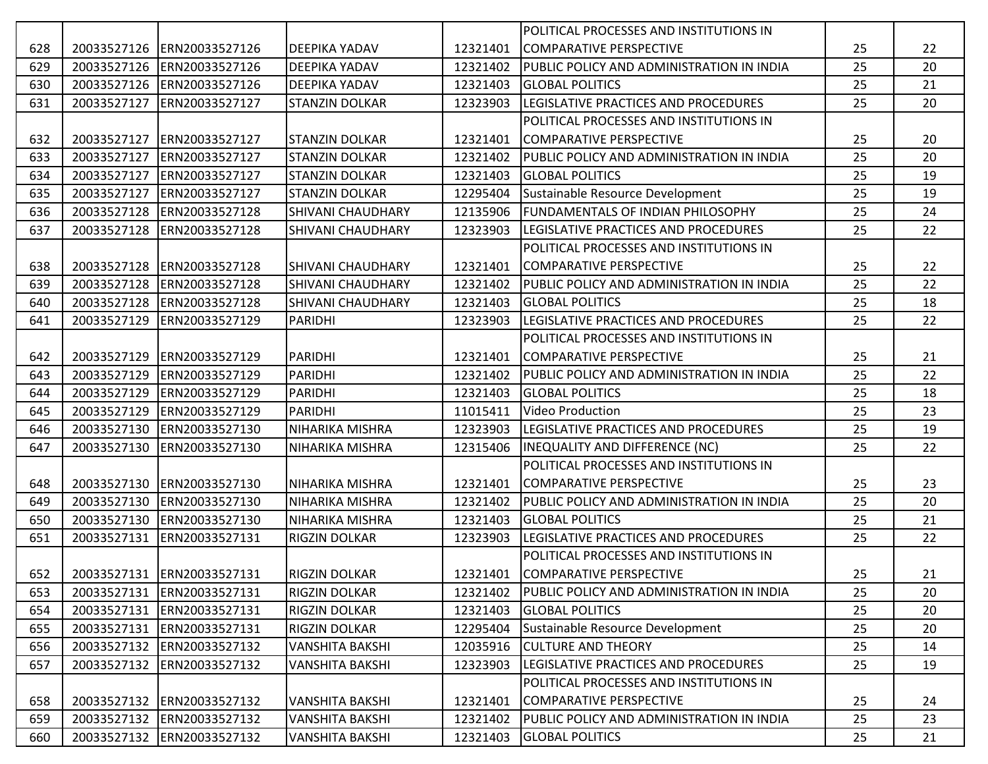|     |             |                                |                          |          | POLITICAL PROCESSES AND INSTITUTIONS IN   |    |    |
|-----|-------------|--------------------------------|--------------------------|----------|-------------------------------------------|----|----|
| 628 |             | 20033527126 ERN20033527126     | <b>DEEPIKA YADAV</b>     | 12321401 | COMPARATIVE PERSPECTIVE                   | 25 | 22 |
| 629 |             | 20033527126 ERN20033527126     | <b>DEEPIKA YADAV</b>     | 12321402 | PUBLIC POLICY AND ADMINISTRATION IN INDIA | 25 | 20 |
| 630 |             | 20033527126 ERN20033527126     | <b>DEEPIKA YADAV</b>     | 12321403 | <b>GLOBAL POLITICS</b>                    | 25 | 21 |
| 631 | 20033527127 | ERN20033527127                 | <b>STANZIN DOLKAR</b>    | 12323903 | LEGISLATIVE PRACTICES AND PROCEDURES      | 25 | 20 |
|     |             |                                |                          |          | POLITICAL PROCESSES AND INSTITUTIONS IN   |    |    |
| 632 | 20033527127 | ERN20033527127                 | <b>STANZIN DOLKAR</b>    | 12321401 | COMPARATIVE PERSPECTIVE                   | 25 | 20 |
| 633 | 20033527127 | ERN20033527127                 | <b>STANZIN DOLKAR</b>    | 12321402 | PUBLIC POLICY AND ADMINISTRATION IN INDIA | 25 | 20 |
| 634 | 20033527127 | ERN20033527127                 | <b>STANZIN DOLKAR</b>    | 12321403 | <b>GLOBAL POLITICS</b>                    | 25 | 19 |
| 635 | 20033527127 | ERN20033527127                 | <b>STANZIN DOLKAR</b>    | 12295404 | Sustainable Resource Development          | 25 | 19 |
| 636 | 20033527128 | ERN20033527128                 | <b>SHIVANI CHAUDHARY</b> | 12135906 | <b>FUNDAMENTALS OF INDIAN PHILOSOPHY</b>  | 25 | 24 |
| 637 | 20033527128 | ERN20033527128                 | SHIVANI CHAUDHARY        | 12323903 | LEGISLATIVE PRACTICES AND PROCEDURES      | 25 | 22 |
|     |             |                                |                          |          | POLITICAL PROCESSES AND INSTITUTIONS IN   |    |    |
| 638 |             | 20033527128 ERN20033527128     | <b>SHIVANI CHAUDHARY</b> | 12321401 | COMPARATIVE PERSPECTIVE                   | 25 | 22 |
| 639 | 20033527128 | ERN20033527128                 | <b>SHIVANI CHAUDHARY</b> | 12321402 | PUBLIC POLICY AND ADMINISTRATION IN INDIA | 25 | 22 |
| 640 |             | 20033527128 ERN20033527128     | <b>SHIVANI CHAUDHARY</b> | 12321403 | <b>GLOBAL POLITICS</b>                    | 25 | 18 |
| 641 | 20033527129 | ERN20033527129                 | PARIDHI                  | 12323903 | LEGISLATIVE PRACTICES AND PROCEDURES      | 25 | 22 |
|     |             |                                |                          |          | POLITICAL PROCESSES AND INSTITUTIONS IN   |    |    |
| 642 | 20033527129 | ERN20033527129                 | PARIDHI                  | 12321401 | COMPARATIVE PERSPECTIVE                   | 25 | 21 |
| 643 | 20033527129 | ERN20033527129                 | PARIDHI                  | 12321402 | PUBLIC POLICY AND ADMINISTRATION IN INDIA | 25 | 22 |
| 644 | 20033527129 | ERN20033527129                 | <b>PARIDHI</b>           | 12321403 | <b>GLOBAL POLITICS</b>                    | 25 | 18 |
| 645 | 20033527129 | ERN20033527129                 | PARIDHI                  | 11015411 | <b>Video Production</b>                   | 25 | 23 |
| 646 | 20033527130 | ERN20033527130                 | NIHARIKA MISHRA          | 12323903 | LEGISLATIVE PRACTICES AND PROCEDURES      | 25 | 19 |
| 647 | 20033527130 | ERN20033527130                 | NIHARIKA MISHRA          | 12315406 | INEQUALITY AND DIFFERENCE (NC)            | 25 | 22 |
|     |             |                                |                          |          | POLITICAL PROCESSES AND INSTITUTIONS IN   |    |    |
| 648 | 20033527130 | ERN20033527130                 | <b>NIHARIKA MISHRA</b>   | 12321401 | <b>COMPARATIVE PERSPECTIVE</b>            | 25 | 23 |
| 649 | 20033527130 | ERN20033527130                 | <b>NIHARIKA MISHRA</b>   | 12321402 | PUBLIC POLICY AND ADMINISTRATION IN INDIA | 25 | 20 |
| 650 |             | 20033527130 ERN20033527130     | <b>NIHARIKA MISHRA</b>   | 12321403 | <b>GLOBAL POLITICS</b>                    | 25 | 21 |
| 651 |             | 20033527131 ERN20033527131     | <b>RIGZIN DOLKAR</b>     | 12323903 | LEGISLATIVE PRACTICES AND PROCEDURES      | 25 | 22 |
|     |             |                                |                          |          | POLITICAL PROCESSES AND INSTITUTIONS IN   |    |    |
|     |             | 652 20033527131 ERN20033527131 | RIGZIN DOLKAR            |          | 12321401 COMPARATIVE PERSPECTIVE          | 25 | 21 |
| 653 |             | 20033527131 ERN20033527131     | RIGZIN DOLKAR            | 12321402 | PUBLIC POLICY AND ADMINISTRATION IN INDIA | 25 | 20 |
| 654 | 20033527131 | ERN20033527131                 | RIGZIN DOLKAR            | 12321403 | <b>GLOBAL POLITICS</b>                    | 25 | 20 |
| 655 | 20033527131 | ERN20033527131                 | RIGZIN DOLKAR            | 12295404 | Sustainable Resource Development          | 25 | 20 |
| 656 |             | 20033527132 ERN20033527132     | <b>VANSHITA BAKSHI</b>   | 12035916 | <b>CULTURE AND THEORY</b>                 | 25 | 14 |
| 657 | 20033527132 | ERN20033527132                 | <b>VANSHITA BAKSHI</b>   | 12323903 | LEGISLATIVE PRACTICES AND PROCEDURES      | 25 | 19 |
|     |             |                                |                          |          | POLITICAL PROCESSES AND INSTITUTIONS IN   |    |    |
| 658 |             | 20033527132 ERN20033527132     | <b>VANSHITA BAKSHI</b>   | 12321401 | COMPARATIVE PERSPECTIVE                   | 25 | 24 |
| 659 | 20033527132 | ERN20033527132                 | <b>VANSHITA BAKSHI</b>   | 12321402 | PUBLIC POLICY AND ADMINISTRATION IN INDIA | 25 | 23 |
| 660 |             | 20033527132 ERN20033527132     | <b>VANSHITA BAKSHI</b>   | 12321403 | <b>GLOBAL POLITICS</b>                    | 25 | 21 |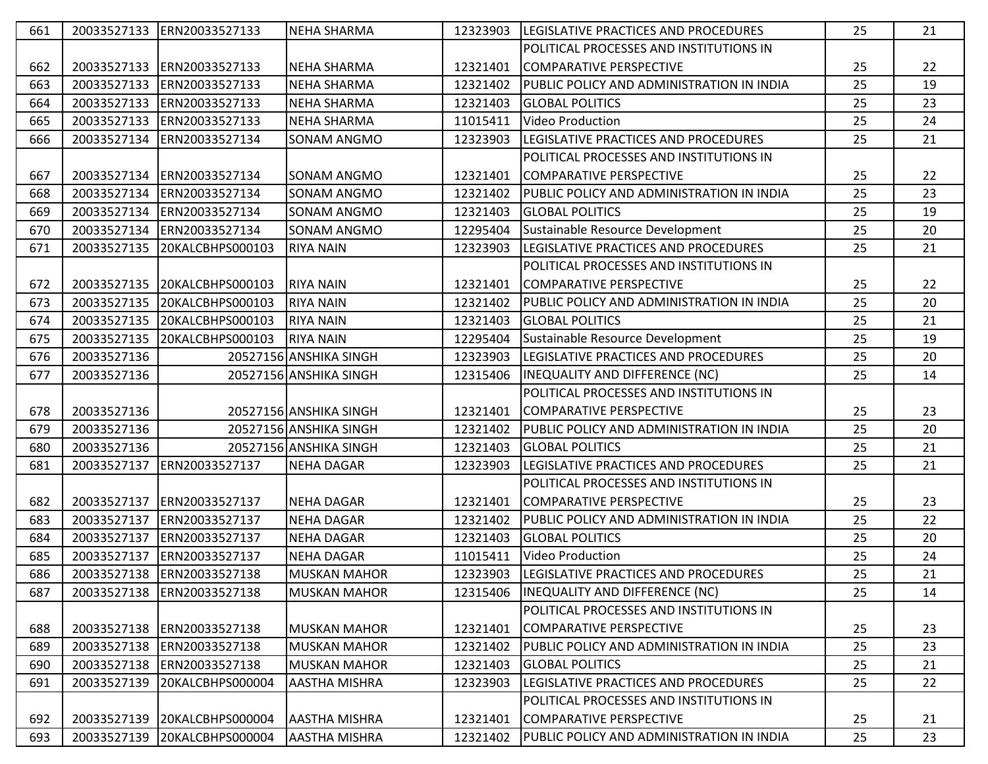| 661 |             | 20033527133 ERN20033527133   | <b>NEHA SHARMA</b>     | 12323903 | <b>LEGISLATIVE PRACTICES AND PROCEDURES</b>    | 25 | 21 |
|-----|-------------|------------------------------|------------------------|----------|------------------------------------------------|----|----|
|     |             |                              |                        |          | POLITICAL PROCESSES AND INSTITUTIONS IN        |    |    |
| 662 | 20033527133 | ERN20033527133               | <b>NEHA SHARMA</b>     | 12321401 | COMPARATIVE PERSPECTIVE                        | 25 | 22 |
| 663 | 20033527133 | ERN20033527133               | <b>NEHA SHARMA</b>     | 12321402 | PUBLIC POLICY AND ADMINISTRATION IN INDIA      | 25 | 19 |
| 664 | 20033527133 | ERN20033527133               | <b>NEHA SHARMA</b>     | 12321403 | <b>GLOBAL POLITICS</b>                         | 25 | 23 |
| 665 | 20033527133 | ERN20033527133               | <b>NEHA SHARMA</b>     | 11015411 | <b>Video Production</b>                        | 25 | 24 |
| 666 | 20033527134 | ERN20033527134               | SONAM ANGMO            | 12323903 | LEGISLATIVE PRACTICES AND PROCEDURES           | 25 | 21 |
|     |             |                              |                        |          | POLITICAL PROCESSES AND INSTITUTIONS IN        |    |    |
| 667 | 20033527134 | ERN20033527134               | <b>SONAM ANGMO</b>     | 12321401 | COMPARATIVE PERSPECTIVE                        | 25 | 22 |
| 668 | 20033527134 | ERN20033527134               | <b>SONAM ANGMO</b>     | 12321402 | PUBLIC POLICY AND ADMINISTRATION IN INDIA      | 25 | 23 |
| 669 |             | 20033527134 ERN20033527134   | <b>SONAM ANGMO</b>     | 12321403 | <b>GLOBAL POLITICS</b>                         | 25 | 19 |
| 670 | 20033527134 | ERN20033527134               | <b>SONAM ANGMO</b>     | 12295404 | Sustainable Resource Development               | 25 | 20 |
| 671 |             | 20033527135 20KALCBHPS000103 | <b>RIYA NAIN</b>       | 12323903 | LEGISLATIVE PRACTICES AND PROCEDURES           | 25 | 21 |
|     |             |                              |                        |          | <b>POLITICAL PROCESSES AND INSTITUTIONS IN</b> |    |    |
| 672 | 20033527135 | 20KALCBHPS000103             | <b>RIYA NAIN</b>       | 12321401 | COMPARATIVE PERSPECTIVE                        | 25 | 22 |
| 673 | 20033527135 | 20KALCBHPS000103             | <b>RIYA NAIN</b>       | 12321402 | PUBLIC POLICY AND ADMINISTRATION IN INDIA      | 25 | 20 |
| 674 | 20033527135 | 20KALCBHPS000103             | <b>RIYA NAIN</b>       | 12321403 | <b>GLOBAL POLITICS</b>                         | 25 | 21 |
| 675 | 20033527135 | 20KALCBHPS000103             | <b>RIYA NAIN</b>       | 12295404 | Sustainable Resource Development               | 25 | 19 |
| 676 | 20033527136 |                              | 20527156 ANSHIKA SINGH | 12323903 | LEGISLATIVE PRACTICES AND PROCEDURES           | 25 | 20 |
| 677 | 20033527136 |                              | 20527156 ANSHIKA SINGH | 12315406 | INEQUALITY AND DIFFERENCE (NC)                 | 25 | 14 |
|     |             |                              |                        |          | POLITICAL PROCESSES AND INSTITUTIONS IN        |    |    |
|     |             |                              |                        |          |                                                |    |    |
| 678 | 20033527136 |                              | 20527156 ANSHIKA SINGH | 12321401 | COMPARATIVE PERSPECTIVE                        | 25 | 23 |
| 679 | 20033527136 |                              | 20527156 ANSHIKA SINGH | 12321402 | PUBLIC POLICY AND ADMINISTRATION IN INDIA      | 25 | 20 |
| 680 | 20033527136 |                              | 20527156 ANSHIKA SINGH | 12321403 | <b>GLOBAL POLITICS</b>                         | 25 | 21 |
| 681 | 20033527137 | ERN20033527137               | <b>NEHA DAGAR</b>      | 12323903 | LEGISLATIVE PRACTICES AND PROCEDURES           | 25 | 21 |
|     |             |                              |                        |          | POLITICAL PROCESSES AND INSTITUTIONS IN        |    |    |
| 682 | 20033527137 | ERN20033527137               | <b>NEHA DAGAR</b>      | 12321401 | COMPARATIVE PERSPECTIVE                        | 25 | 23 |
| 683 | 20033527137 | ERN20033527137               | <b>NEHA DAGAR</b>      | 12321402 | PUBLIC POLICY AND ADMINISTRATION IN INDIA      | 25 | 22 |
| 684 | 20033527137 | ERN20033527137               | <b>NEHA DAGAR</b>      | 12321403 | <b>GLOBAL POLITICS</b>                         | 25 | 20 |
| 685 | 20033527137 | ERN20033527137               | <b>NEHA DAGAR</b>      | 11015411 | <b>Video Production</b>                        | 25 | 24 |
| 686 | 20033527138 | ERN20033527138               | <b>MUSKAN MAHOR</b>    | 12323903 | LEGISLATIVE PRACTICES AND PROCEDURES           | 25 | 21 |
| 687 | 20033527138 | ERN20033527138               | <b>MUSKAN MAHOR</b>    | 12315406 | <b>INEQUALITY AND DIFFERENCE (NC)</b>          | 25 | 14 |
|     |             |                              |                        |          | POLITICAL PROCESSES AND INSTITUTIONS IN        |    |    |
| 688 | 20033527138 | ERN20033527138               | <b>MUSKAN MAHOR</b>    | 12321401 | COMPARATIVE PERSPECTIVE                        | 25 | 23 |
| 689 | 20033527138 | ERN20033527138               | <b>MUSKAN MAHOR</b>    | 12321402 | PUBLIC POLICY AND ADMINISTRATION IN INDIA      | 25 | 23 |
| 690 | 20033527138 | ERN20033527138               | <b>MUSKAN MAHOR</b>    | 12321403 | <b>GLOBAL POLITICS</b>                         | 25 | 21 |
| 691 | 20033527139 | 20KALCBHPS000004             | <b>AASTHA MISHRA</b>   | 12323903 | LEGISLATIVE PRACTICES AND PROCEDURES           | 25 | 22 |
|     |             |                              |                        |          | POLITICAL PROCESSES AND INSTITUTIONS IN        |    |    |
| 692 | 20033527139 | 20KALCBHPS000004             | <b>AASTHA MISHRA</b>   | 12321401 | COMPARATIVE PERSPECTIVE                        | 25 | 21 |